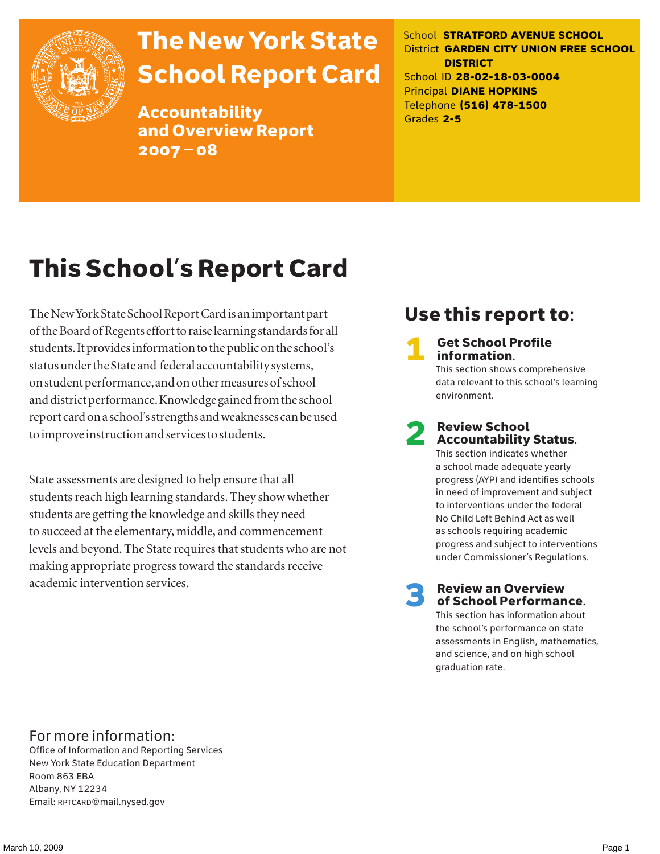

# The New York State School Report Card

Accountability and Overview Report 2007–08

School **STRATFORD AVENUE SCHOOL** District **GARDEN CITY UNION FREE SCHOOL DISTRICT** School ID **28-02-18-03-0004** Principal **DIANE HOPKINS** Telephone **(516) 478-1500** Grades **2-5**

# This School's Report Card

The New York State School Report Card is an important part of the Board of Regents effort to raise learning standards for all students. It provides information to the public on the school's status under the State and federal accountability systems, on student performance, and on other measures of school and district performance. Knowledge gained from the school report card on a school's strengths and weaknesses can be used to improve instruction and services to students.

State assessments are designed to help ensure that all students reach high learning standards. They show whether students are getting the knowledge and skills they need to succeed at the elementary, middle, and commencement levels and beyond. The State requires that students who are not making appropriate progress toward the standards receive academic intervention services.

### Use this report to:

**Get School Profile** information.

This section shows comprehensive data relevant to this school's learning environment.

# 2 Review School Accountability Status.

This section indicates whether a school made adequate yearly progress (AYP) and identifies schools in need of improvement and subject to interventions under the federal No Child Left Behind Act as well as schools requiring academic progress and subject to interventions under Commissioner's Regulations.

**Review an Overview** of School Performance.

This section has information about the school's performance on state assessments in English, mathematics, and science, and on high school graduation rate.

### For more information:

Office of Information and Reporting Services New York State Education Department Room 863 EBA Albany, NY 12234 Email: RPTCARD@mail.nysed.gov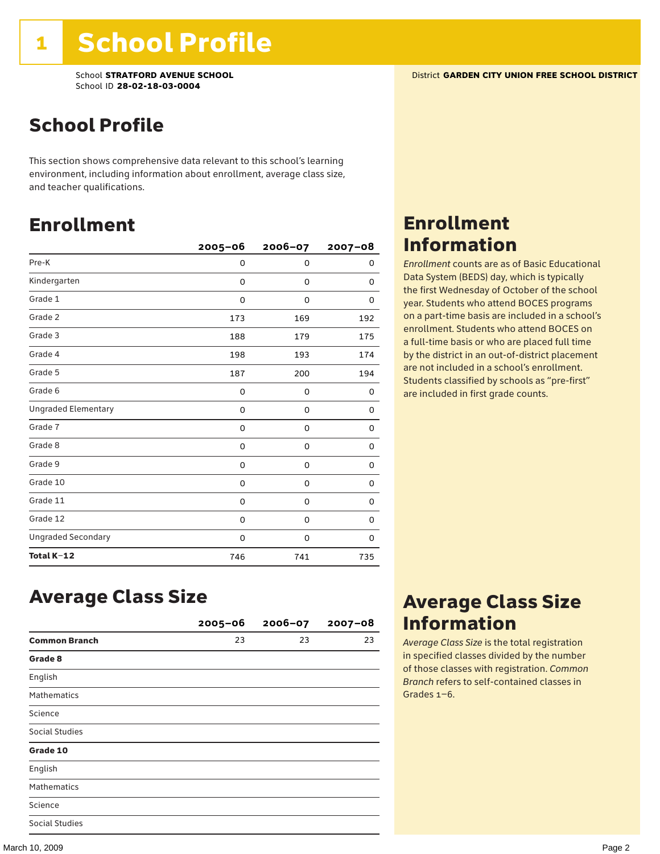### School Profile

This section shows comprehensive data relevant to this school's learning environment, including information about enrollment, average class size, and teacher qualifications.

### Enrollment

|                            | $2005 - 06$ | $2006 - 07$ | $2007 - 08$ |
|----------------------------|-------------|-------------|-------------|
| Pre-K                      | 0           | 0           | 0           |
| Kindergarten               | 0           | 0           | 0           |
| Grade 1                    | 0           | 0           | 0           |
| Grade 2                    | 173         | 169         | 192         |
| Grade 3                    | 188         | 179         | 175         |
| Grade 4                    | 198         | 193         | 174         |
| Grade 5                    | 187         | 200         | 194         |
| Grade 6                    | 0           | 0           | 0           |
| <b>Ungraded Elementary</b> | 0           | 0           | 0           |
| Grade 7                    | 0           | 0           | 0           |
| Grade 8                    | 0           | 0           | 0           |
| Grade 9                    | 0           | 0           | 0           |
| Grade 10                   | 0           | 0           | 0           |
| Grade 11                   | 0           | 0           | 0           |
| Grade 12                   | 0           | 0           | 0           |
| <b>Ungraded Secondary</b>  | 0           | 0           | 0           |
| Total K-12                 | 746         | 741         | 735         |

### Enrollment Information

*Enrollment* counts are as of Basic Educational Data System (BEDS) day, which is typically the first Wednesday of October of the school year. Students who attend BOCES programs on a part-time basis are included in a school's enrollment. Students who attend BOCES on a full-time basis or who are placed full time by the district in an out-of-district placement are not included in a school's enrollment. Students classified by schools as "pre-first" are included in first grade counts.

### Average Class Size

|                       | $2005 - 06$ | $2006 - 07$ | $2007 - 08$ |
|-----------------------|-------------|-------------|-------------|
| <b>Common Branch</b>  | 23          | 23          | 23          |
| Grade 8               |             |             |             |
| English               |             |             |             |
| <b>Mathematics</b>    |             |             |             |
| Science               |             |             |             |
| <b>Social Studies</b> |             |             |             |
| Grade 10              |             |             |             |
| English               |             |             |             |
| <b>Mathematics</b>    |             |             |             |
| Science               |             |             |             |
| <b>Social Studies</b> |             |             |             |

### Average Class Size Information

*Average Class Size* is the total registration in specified classes divided by the number of those classes with registration. *Common Branch* refers to self-contained classes in Grades 1–6.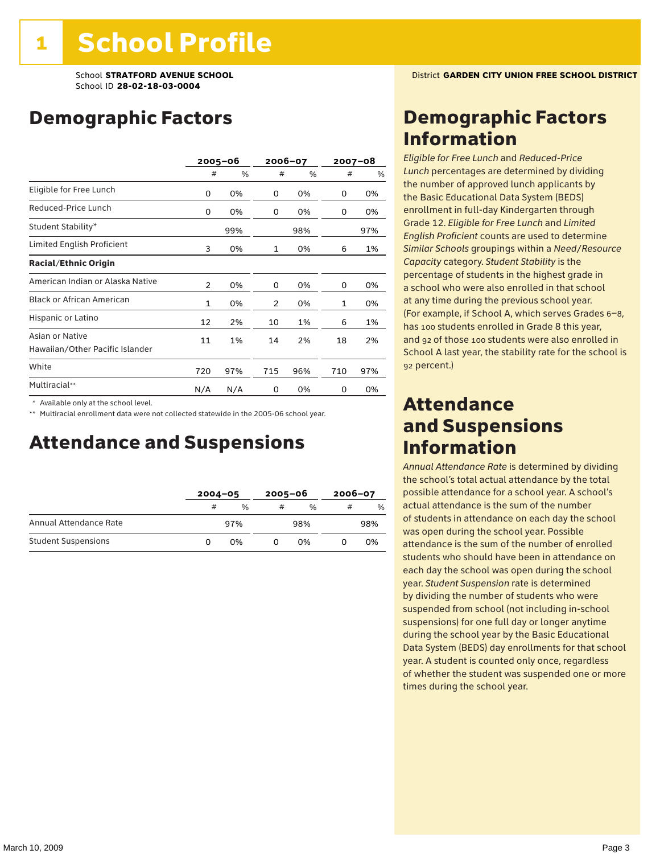### Demographic Factors

|                                                    |                | $2005 - 06$ | 2006-07 |     | $2007 - 08$ |      |
|----------------------------------------------------|----------------|-------------|---------|-----|-------------|------|
|                                                    | #              | %           | #       | %   | #           | $\%$ |
| Eligible for Free Lunch                            | 0              | 0%          | 0       | 0%  | 0           | 0%   |
| Reduced-Price Lunch                                | 0              | 0%          | 0       | 0%  | 0           | 0%   |
| Student Stability*                                 |                | 99%         |         | 98% |             | 97%  |
| Limited English Proficient                         | 3              | 0%          | 1       | 0%  | 6           | 1%   |
| <b>Racial/Ethnic Origin</b>                        |                |             |         |     |             |      |
| American Indian or Alaska Native                   | $\overline{2}$ | 0%          | 0       | 0%  | 0           | 0%   |
| <b>Black or African American</b>                   | $\mathbf{1}$   | 0%          | 2       | 0%  | 1           | 0%   |
| Hispanic or Latino                                 | 12             | 2%          | 10      | 1%  | 6           | 1%   |
| Asian or Native<br>Hawaiian/Other Pacific Islander | 11             | 1%          | 14      | 2%  | 18          | 2%   |
| White                                              | 720            | 97%         | 715     | 96% | 710         | 97%  |
| Multiracial**                                      | N/A            | N/A         | 0       | 0%  | 0           | 0%   |

\* Available only at the school level.

\*\* Multiracial enrollment data were not collected statewide in the 2005-06 school year.

### Attendance and Suspensions

|                            |   | $2004 - 05$   |   | $2005 - 06$ |   | $2006 - 07$ |  |
|----------------------------|---|---------------|---|-------------|---|-------------|--|
|                            | # | $\frac{0}{0}$ | # | $\%$        | # | %           |  |
| Annual Attendance Rate     |   | 97%           |   | 98%         |   | 98%         |  |
| <b>Student Suspensions</b> |   | 0%            |   | በ%          |   | 0%          |  |

### Demographic Factors Information

*Eligible for Free Lunch* and *Reduced*-*Price Lunch* percentages are determined by dividing the number of approved lunch applicants by the Basic Educational Data System (BEDS) enrollment in full-day Kindergarten through Grade 12. *Eligible for Free Lunch* and *Limited English Proficient* counts are used to determine *Similar Schools* groupings within a *Need*/*Resource Capacity* category. *Student Stability* is the percentage of students in the highest grade in a school who were also enrolled in that school at any time during the previous school year. (For example, if School A, which serves Grades 6–8, has 100 students enrolled in Grade 8 this year, and 92 of those 100 students were also enrolled in School A last year, the stability rate for the school is 92 percent.)

### Attendance and Suspensions Information

*Annual Attendance Rate* is determined by dividing the school's total actual attendance by the total possible attendance for a school year. A school's actual attendance is the sum of the number of students in attendance on each day the school was open during the school year. Possible attendance is the sum of the number of enrolled students who should have been in attendance on each day the school was open during the school year. *Student Suspension* rate is determined by dividing the number of students who were suspended from school (not including in-school suspensions) for one full day or longer anytime during the school year by the Basic Educational Data System (BEDS) day enrollments for that school year. A student is counted only once, regardless of whether the student was suspended one or more times during the school year.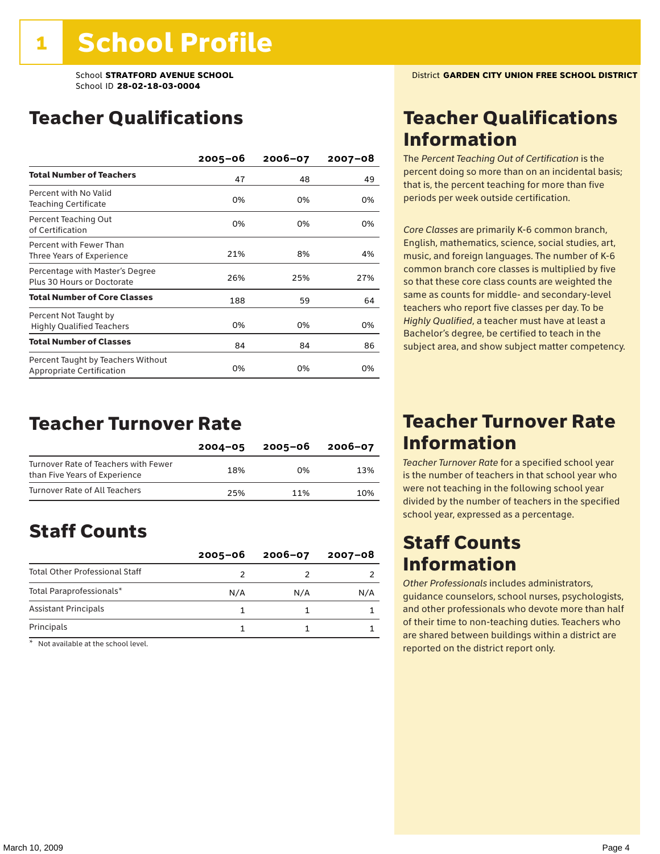### Teacher Qualifications

|                                                                        | $2005 - 06$ | $2006 - 07$ | $2007 - 08$ |
|------------------------------------------------------------------------|-------------|-------------|-------------|
| <b>Total Number of Teachers</b>                                        | 47          | 48          | 49          |
| Percent with No Valid<br>Teaching Certificate                          | 0%          | 0%          | 0%          |
| Percent Teaching Out<br>of Certification                               | 0%          | 0%          | 0%          |
| Percent with Fewer Than<br>Three Years of Experience                   | 21%         | 8%          | 4%          |
| Percentage with Master's Degree<br>Plus 30 Hours or Doctorate          | 26%         | 25%         | 27%         |
| <b>Total Number of Core Classes</b>                                    | 188         | 59          | 64          |
| Percent Not Taught by<br><b>Highly Qualified Teachers</b>              | 0%          | 0%          | 0%          |
| <b>Total Number of Classes</b>                                         | 84          | 84          | 86          |
| Percent Taught by Teachers Without<br><b>Appropriate Certification</b> | 0%          | 0%          | 0%          |

### Teacher Turnover Rate

|                                                                       | $2004 - 05$ | 2005-06 | 2006-07 |
|-----------------------------------------------------------------------|-------------|---------|---------|
| Turnover Rate of Teachers with Fewer<br>than Five Years of Experience | 18%         | በ%      | 13%     |
| Turnover Rate of All Teachers                                         | 25%         | 11%     | 10%     |

### Staff Counts

|                                       | $2005 - 06$ | $2006 - 07$ | 2007-08 |
|---------------------------------------|-------------|-------------|---------|
| <b>Total Other Professional Staff</b> |             |             |         |
| Total Paraprofessionals*              | N/A         | N/A         | N/A     |
| <b>Assistant Principals</b>           |             |             |         |
| Principals                            |             |             |         |

\* Not available at the school level.

### Teacher Qualifications Information

The *Percent Teaching Out of Certification* is the percent doing so more than on an incidental basis; that is, the percent teaching for more than five periods per week outside certification.

*Core Classes* are primarily K-6 common branch, English, mathematics, science, social studies, art, music, and foreign languages. The number of K-6 common branch core classes is multiplied by five so that these core class counts are weighted the same as counts for middle- and secondary-level teachers who report five classes per day. To be *Highly Qualified*, a teacher must have at least a Bachelor's degree, be certified to teach in the subject area, and show subject matter competency.

### Teacher Turnover Rate Information

*Teacher Turnover Rate* for a specified school year is the number of teachers in that school year who were not teaching in the following school year divided by the number of teachers in the specified school year, expressed as a percentage.

### Staff Counts Information

*Other Professionals* includes administrators, guidance counselors, school nurses, psychologists, and other professionals who devote more than half of their time to non-teaching duties. Teachers who are shared between buildings within a district are reported on the district report only.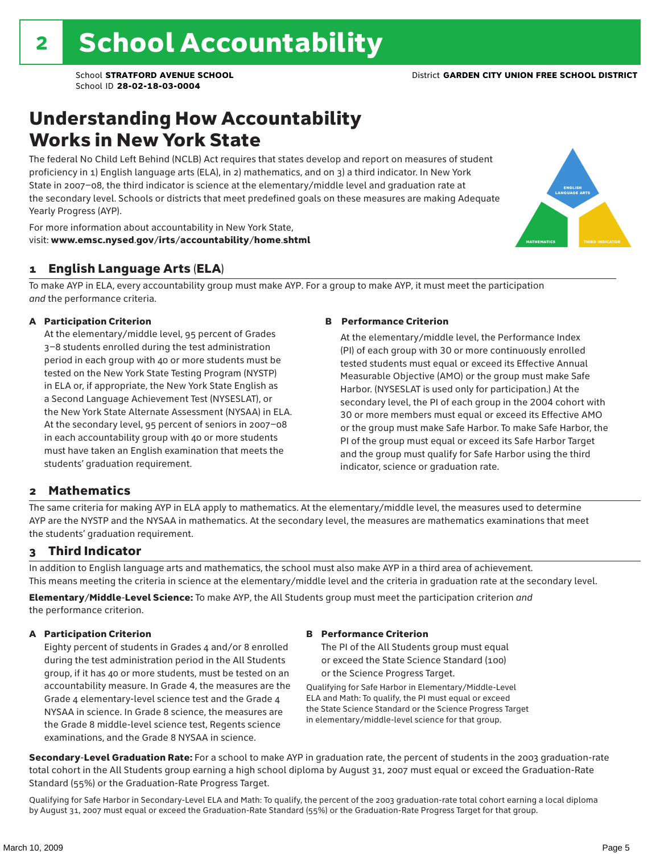### Understanding How Accountability Works in New York State

The federal No Child Left Behind (NCLB) Act requires that states develop and report on measures of student proficiency in 1) English language arts (ELA), in 2) mathematics, and on 3) a third indicator. In New York State in 2007–08, the third indicator is science at the elementary/middle level and graduation rate at the secondary level. Schools or districts that meet predefined goals on these measures are making Adequate Yearly Progress (AYP).



For more information about accountability in New York State, visit: www.emsc.nysed.gov/irts/accountability/home.shtml

#### 1 English Language Arts (ELA)

To make AYP in ELA, every accountability group must make AYP. For a group to make AYP, it must meet the participation *and* the performance criteria.

#### A Participation Criterion

At the elementary/middle level, 95 percent of Grades 3–8 students enrolled during the test administration period in each group with 40 or more students must be tested on the New York State Testing Program (NYSTP) in ELA or, if appropriate, the New York State English as a Second Language Achievement Test (NYSESLAT), or the New York State Alternate Assessment (NYSAA) in ELA. At the secondary level, 95 percent of seniors in 2007–08 in each accountability group with 40 or more students must have taken an English examination that meets the students' graduation requirement.

#### B Performance Criterion

At the elementary/middle level, the Performance Index (PI) of each group with 30 or more continuously enrolled tested students must equal or exceed its Effective Annual Measurable Objective (AMO) or the group must make Safe Harbor. (NYSESLAT is used only for participation.) At the secondary level, the PI of each group in the 2004 cohort with 30 or more members must equal or exceed its Effective AMO or the group must make Safe Harbor. To make Safe Harbor, the PI of the group must equal or exceed its Safe Harbor Target and the group must qualify for Safe Harbor using the third indicator, science or graduation rate.

#### 2 Mathematics

The same criteria for making AYP in ELA apply to mathematics. At the elementary/middle level, the measures used to determine AYP are the NYSTP and the NYSAA in mathematics. At the secondary level, the measures are mathematics examinations that meet the students' graduation requirement.

#### 3 Third Indicator

In addition to English language arts and mathematics, the school must also make AYP in a third area of achievement. This means meeting the criteria in science at the elementary/middle level and the criteria in graduation rate at the secondary level.

Elementary/Middle-Level Science: To make AYP, the All Students group must meet the participation criterion *and* the performance criterion.

#### A Participation Criterion

Eighty percent of students in Grades 4 and/or 8 enrolled during the test administration period in the All Students group, if it has 40 or more students, must be tested on an accountability measure. In Grade 4, the measures are the Grade 4 elementary-level science test and the Grade 4 NYSAA in science. In Grade 8 science, the measures are the Grade 8 middle-level science test, Regents science examinations, and the Grade 8 NYSAA in science.

#### B Performance Criterion

The PI of the All Students group must equal or exceed the State Science Standard (100) or the Science Progress Target.

Qualifying for Safe Harbor in Elementary/Middle-Level ELA and Math: To qualify, the PI must equal or exceed the State Science Standard or the Science Progress Target in elementary/middle-level science for that group.

Secondary-Level Graduation Rate: For a school to make AYP in graduation rate, the percent of students in the 2003 graduation-rate total cohort in the All Students group earning a high school diploma by August 31, 2007 must equal or exceed the Graduation-Rate Standard (55%) or the Graduation-Rate Progress Target.

Qualifying for Safe Harbor in Secondary-Level ELA and Math: To qualify, the percent of the 2003 graduation-rate total cohort earning a local diploma by August 31, 2007 must equal or exceed the Graduation-Rate Standard (55%) or the Graduation-Rate Progress Target for that group.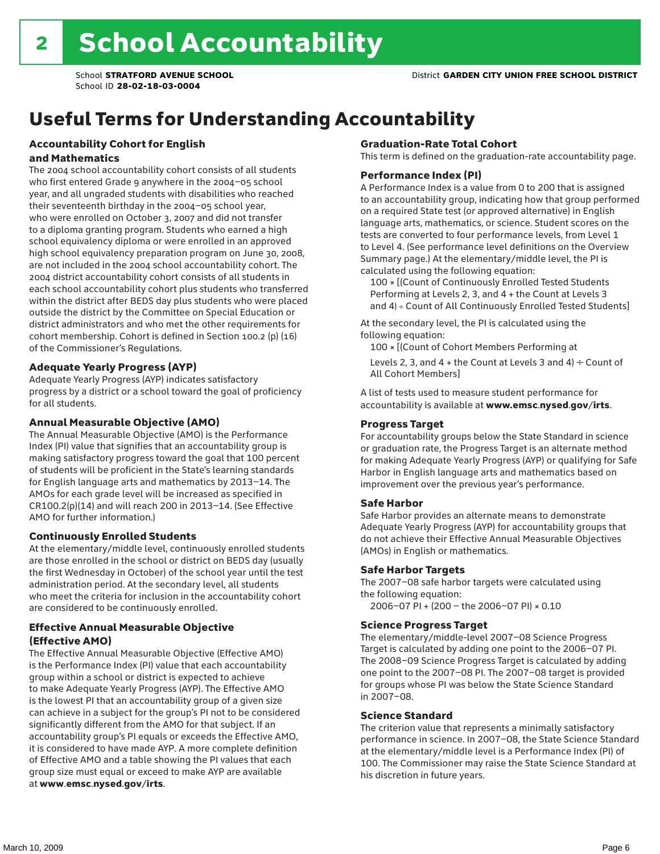# Useful Terms for Understanding Accountability

#### Accountability Cohort for English and Mathematics

The 2004 school accountability cohort consists of all students who first entered Grade 9 anywhere in the 2004–05 school year, and all ungraded students with disabilities who reached their seventeenth birthday in the 2004–05 school year, who were enrolled on October 3, 2007 and did not transfer to a diploma granting program. Students who earned a high school equivalency diploma or were enrolled in an approved high school equivalency preparation program on June 30, 2008, are not included in the 2004 school accountability cohort. The 2004 district accountability cohort consists of all students in each school accountability cohort plus students who transferred within the district after BEDS day plus students who were placed outside the district by the Committee on Special Education or district administrators and who met the other requirements for cohort membership. Cohort is defined in Section 100.2 (p) (16) of the Commissioner's Regulations.

#### Adequate Yearly Progress (AYP)

Adequate Yearly Progress (AYP) indicates satisfactory progress by a district or a school toward the goal of proficiency for all students.

#### Annual Measurable Objective (AMO)

The Annual Measurable Objective (AMO) is the Performance Index (PI) value that signifies that an accountability group is making satisfactory progress toward the goal that 100 percent of students will be proficient in the State's learning standards for English language arts and mathematics by 2013–14. The AMOs for each grade level will be increased as specified in CR100.2(p)(14) and will reach 200 in 2013–14. (See Effective AMO for further information.)

#### Continuously Enrolled Students

At the elementary/middle level, continuously enrolled students are those enrolled in the school or district on BEDS day (usually the first Wednesday in October) of the school year until the test administration period. At the secondary level, all students who meet the criteria for inclusion in the accountability cohort are considered to be continuously enrolled.

#### Effective Annual Measurable Objective (Effective AMO)

The Effective Annual Measurable Objective (Effective AMO) is the Performance Index (PI) value that each accountability group within a school or district is expected to achieve to make Adequate Yearly Progress (AYP). The Effective AMO is the lowest PI that an accountability group of a given size can achieve in a subject for the group's PI not to be considered significantly different from the AMO for that subject. If an accountability group's PI equals or exceeds the Effective AMO, it is considered to have made AYP. A more complete definition of Effective AMO and a table showing the PI values that each group size must equal or exceed to make AYP are available at www.emsc.nysed.gov/irts.

#### Graduation-Rate Total Cohort

This term is defined on the graduation-rate accountability page.

#### Performance Index (PI)

A Performance Index is a value from 0 to 200 that is assigned to an accountability group, indicating how that group performed on a required State test (or approved alternative) in English language arts, mathematics, or science. Student scores on the tests are converted to four performance levels, from Level 1 to Level 4. (See performance level definitions on the Overview Summary page.) At the elementary/middle level, the PI is calculated using the following equation:

100 × [(Count of Continuously Enrolled Tested Students Performing at Levels 2, 3, and 4 + the Count at Levels 3 and 4) ÷ Count of All Continuously Enrolled Tested Students]

At the secondary level, the PI is calculated using the following equation:

100 × [(Count of Cohort Members Performing at

Levels 2, 3, and 4 + the Count at Levels 3 and 4)  $\div$  Count of All Cohort Members]

A list of tests used to measure student performance for accountability is available at www.emsc.nysed.gov/irts.

#### Progress Target

For accountability groups below the State Standard in science or graduation rate, the Progress Target is an alternate method for making Adequate Yearly Progress (AYP) or qualifying for Safe Harbor in English language arts and mathematics based on improvement over the previous year's performance.

#### Safe Harbor

Safe Harbor provides an alternate means to demonstrate Adequate Yearly Progress (AYP) for accountability groups that do not achieve their Effective Annual Measurable Objectives (AMOs) in English or mathematics.

#### Safe Harbor Targets

The 2007–08 safe harbor targets were calculated using the following equation:

2006–07 PI + (200 – the 2006–07 PI) × 0.10

#### Science Progress Target

The elementary/middle-level 2007–08 Science Progress Target is calculated by adding one point to the 2006–07 PI. The 2008–09 Science Progress Target is calculated by adding one point to the 2007–08 PI. The 2007–08 target is provided for groups whose PI was below the State Science Standard in 2007–08.

#### Science Standard

The criterion value that represents a minimally satisfactory performance in science. In 2007–08, the State Science Standard at the elementary/middle level is a Performance Index (PI) of 100. The Commissioner may raise the State Science Standard at his discretion in future years.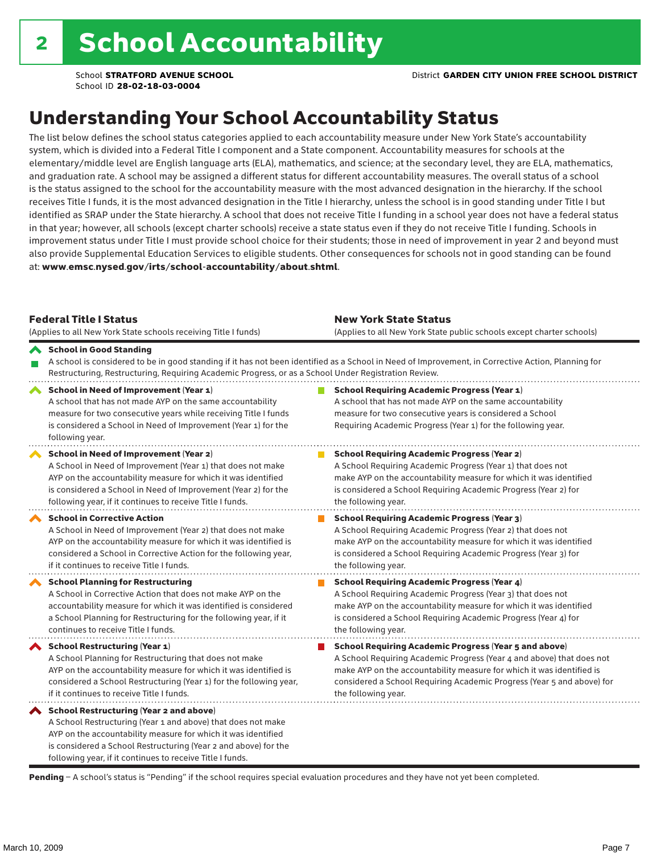### Understanding Your School Accountability Status

The list below defines the school status categories applied to each accountability measure under New York State's accountability system, which is divided into a Federal Title I component and a State component. Accountability measures for schools at the elementary/middle level are English language arts (ELA), mathematics, and science; at the secondary level, they are ELA, mathematics, and graduation rate. A school may be assigned a different status for different accountability measures. The overall status of a school is the status assigned to the school for the accountability measure with the most advanced designation in the hierarchy. If the school receives Title I funds, it is the most advanced designation in the Title I hierarchy, unless the school is in good standing under Title I but identified as SRAP under the State hierarchy. A school that does not receive Title I funding in a school year does not have a federal status in that year; however, all schools (except charter schools) receive a state status even if they do not receive Title I funding. Schools in improvement status under Title I must provide school choice for their students; those in need of improvement in year 2 and beyond must also provide Supplemental Education Services to eligible students. Other consequences for schools not in good standing can be found at: www.emsc.nysed.gov/irts/school-accountability/about.shtml.

| <b>Federal Title I Status</b><br>(Applies to all New York State schools receiving Title I funds)                                                                                                                                                                                                                | <b>New York State Status</b><br>(Applies to all New York State public schools except charter schools) |                                                                                                                                                                                                                                                                                                                 |  |  |  |
|-----------------------------------------------------------------------------------------------------------------------------------------------------------------------------------------------------------------------------------------------------------------------------------------------------------------|-------------------------------------------------------------------------------------------------------|-----------------------------------------------------------------------------------------------------------------------------------------------------------------------------------------------------------------------------------------------------------------------------------------------------------------|--|--|--|
| School in Good Standing<br>Restructuring, Restructuring, Requiring Academic Progress, or as a School Under Registration Review.                                                                                                                                                                                 |                                                                                                       | A school is considered to be in good standing if it has not been identified as a School in Need of Improvement, in Corrective Action, Planning for                                                                                                                                                              |  |  |  |
| School in Need of Improvement (Year 1)<br>A school that has not made AYP on the same accountability<br>measure for two consecutive years while receiving Title I funds<br>is considered a School in Need of Improvement (Year 1) for the<br>following year.                                                     |                                                                                                       | <b>School Requiring Academic Progress (Year 1)</b><br>A school that has not made AYP on the same accountability<br>measure for two consecutive years is considered a School<br>Requiring Academic Progress (Year 1) for the following year.                                                                     |  |  |  |
| <b>School in Need of Improvement (Year 2)</b><br>A School in Need of Improvement (Year 1) that does not make<br>AYP on the accountability measure for which it was identified<br>is considered a School in Need of Improvement (Year 2) for the<br>following year, if it continues to receive Title I funds.    |                                                                                                       | <b>School Requiring Academic Progress (Year 2)</b><br>A School Requiring Academic Progress (Year 1) that does not<br>make AYP on the accountability measure for which it was identified<br>is considered a School Requiring Academic Progress (Year 2) for<br>the following year.                               |  |  |  |
| <b>School in Corrective Action</b><br>A School in Need of Improvement (Year 2) that does not make<br>AYP on the accountability measure for which it was identified is<br>considered a School in Corrective Action for the following year,<br>if it continues to receive Title I funds.                          |                                                                                                       | <b>School Requiring Academic Progress (Year 3)</b><br>A School Requiring Academic Progress (Year 2) that does not<br>make AYP on the accountability measure for which it was identified<br>is considered a School Requiring Academic Progress (Year 3) for<br>the following year.                               |  |  |  |
| <b>School Planning for Restructuring</b><br>A School in Corrective Action that does not make AYP on the<br>accountability measure for which it was identified is considered<br>a School Planning for Restructuring for the following year, if it<br>continues to receive Title I funds.                         |                                                                                                       | <b>School Requiring Academic Progress (Year 4)</b><br>A School Requiring Academic Progress (Year 3) that does not<br>make AYP on the accountability measure for which it was identified<br>is considered a School Requiring Academic Progress (Year 4) for<br>the following year.                               |  |  |  |
| School Restructuring (Year 1)<br>A School Planning for Restructuring that does not make<br>AYP on the accountability measure for which it was identified is<br>considered a School Restructuring (Year 1) for the following year,<br>if it continues to receive Title I funds.                                  |                                                                                                       | <b>School Requiring Academic Progress (Year 5 and above)</b><br>A School Requiring Academic Progress (Year 4 and above) that does not<br>make AYP on the accountability measure for which it was identified is<br>considered a School Requiring Academic Progress (Year 5 and above) for<br>the following year. |  |  |  |
| <b>School Restructuring (Year 2 and above)</b><br>A School Restructuring (Year 1 and above) that does not make<br>AYP on the accountability measure for which it was identified<br>is considered a School Restructuring (Year 2 and above) for the<br>following year, if it continues to receive Title I funds. |                                                                                                       |                                                                                                                                                                                                                                                                                                                 |  |  |  |

Pending - A school's status is "Pending" if the school requires special evaluation procedures and they have not yet been completed.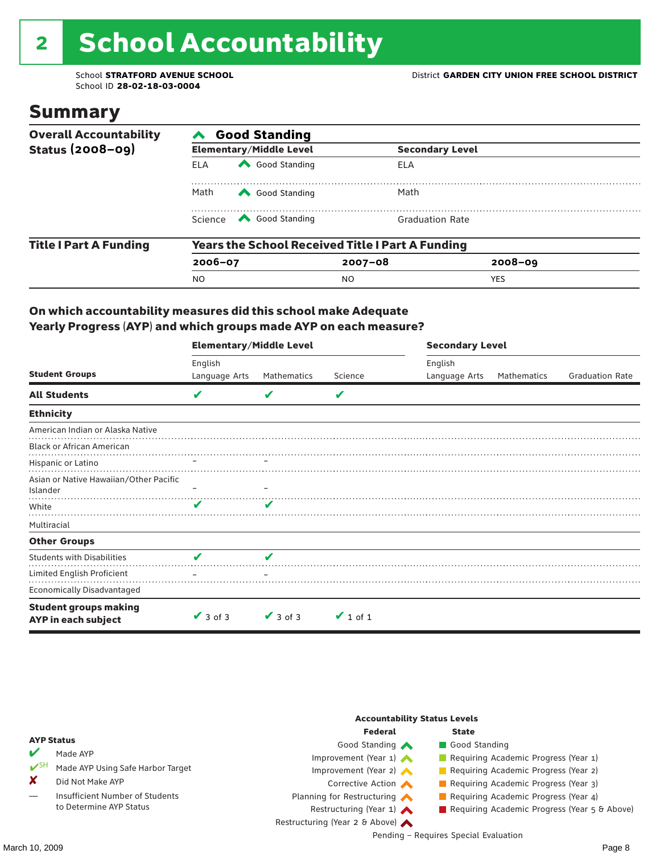# 2 School Accountability

School ID **28-02-18-03-0004**

### Summary

| <b>Overall Accountability</b> | <b>Good Standing</b>                                    |                                                                                                                                                                                                                                                                                                                                        |                        |             |  |  |  |  |
|-------------------------------|---------------------------------------------------------|----------------------------------------------------------------------------------------------------------------------------------------------------------------------------------------------------------------------------------------------------------------------------------------------------------------------------------------|------------------------|-------------|--|--|--|--|
| Status $(2008-09)$            |                                                         | <b>Elementary/Middle Level</b>                                                                                                                                                                                                                                                                                                         | <b>Secondary Level</b> |             |  |  |  |  |
|                               | <b>ELA</b>                                              | Good Standing                                                                                                                                                                                                                                                                                                                          | ELA                    |             |  |  |  |  |
|                               | Math<br>Good Standing                                   |                                                                                                                                                                                                                                                                                                                                        | Math                   |             |  |  |  |  |
|                               |                                                         | Science <a> Science</a> Science Science Science <a> Science <a> Science <a> Science <a> Science <a> Science <a> Science <a> Science <a> Science <a> Science <a> Science <a> Science <a<br></a<br> Science <a> Science <a<br <="" th=""><th><b>Graduation Rate</b></th><th></th></a<br></a></a></a></a></a></a></a></a></a></a></a></a> | <b>Graduation Rate</b> |             |  |  |  |  |
| <b>Title I Part A Funding</b> | <b>Years the School Received Title I Part A Funding</b> |                                                                                                                                                                                                                                                                                                                                        |                        |             |  |  |  |  |
|                               | $2006 - 07$                                             |                                                                                                                                                                                                                                                                                                                                        | $2007 - 08$            | $2008 - 09$ |  |  |  |  |
|                               | <b>NO</b>                                               |                                                                                                                                                                                                                                                                                                                                        | NO.                    | <b>YES</b>  |  |  |  |  |

#### On which accountability measures did this school make Adequate Yearly Progress (AYP) and which groups made AYP on each measure?

|                                                     | <b>Elementary/Middle Level</b> |               |               | <b>Secondary Level</b> |             |                        |  |
|-----------------------------------------------------|--------------------------------|---------------|---------------|------------------------|-------------|------------------------|--|
|                                                     | English                        |               |               | English                |             |                        |  |
| <b>Student Groups</b>                               | Language Arts                  | Mathematics   | Science       | Language Arts          | Mathematics | <b>Graduation Rate</b> |  |
| <b>All Students</b>                                 | V                              |               | V             |                        |             |                        |  |
| <b>Ethnicity</b>                                    |                                |               |               |                        |             |                        |  |
| American Indian or Alaska Native                    |                                |               |               |                        |             |                        |  |
| <b>Black or African American</b>                    |                                |               |               |                        |             |                        |  |
| Hispanic or Latino                                  |                                |               |               |                        |             |                        |  |
| Asian or Native Hawaiian/Other Pacific<br>Islander  |                                |               |               |                        |             |                        |  |
| White                                               | V                              | V             |               |                        |             |                        |  |
| Multiracial                                         |                                |               |               |                        |             |                        |  |
| <b>Other Groups</b>                                 |                                |               |               |                        |             |                        |  |
| <b>Students with Disabilities</b>                   | V                              | V             |               |                        |             |                        |  |
| Limited English Proficient                          |                                |               |               |                        |             |                        |  |
| <b>Economically Disadvantaged</b>                   |                                |               |               |                        |             |                        |  |
| <b>Student groups making</b><br>AYP in each subject | $\vee$ 3 of 3                  | $\vee$ 3 of 3 | $\vee$ 1 of 1 |                        |             |                        |  |

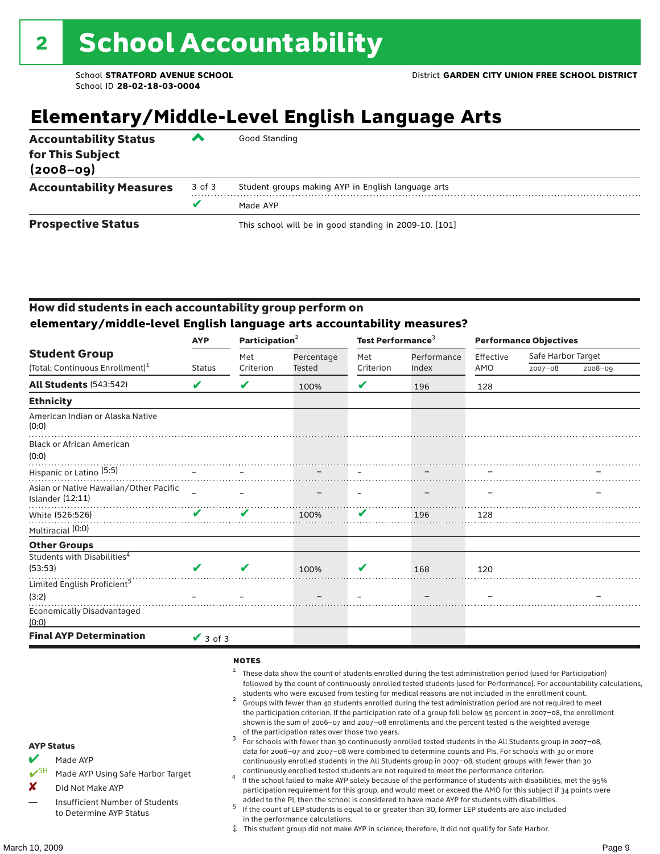### **Elementary/Middle-Level English Language Arts**

| <b>Accountability Status</b><br>for This Subject<br>$(2008 - 09)$ | ▰      | Good Standing                                          |
|-------------------------------------------------------------------|--------|--------------------------------------------------------|
| <b>Accountability Measures</b>                                    | 3 of 3 | Student groups making AYP in English language arts     |
|                                                                   |        | Made AYP                                               |
| <b>Prospective Status</b>                                         |        | This school will be in good standing in 2009-10. [101] |

#### How did students in each accountability group perform on **elementary/middle-level English language arts accountability measures?**

|                                                                   | Participation <sup>2</sup><br><b>AYP</b> |           |            |           | Test Performance <sup>3</sup> |           | <b>Performance Objectives</b> |         |  |
|-------------------------------------------------------------------|------------------------------------------|-----------|------------|-----------|-------------------------------|-----------|-------------------------------|---------|--|
| <b>Student Group</b>                                              |                                          | Met       | Percentage | Met       | Performance                   | Effective | Safe Harbor Target            |         |  |
| (Total: Continuous Enrollment) <sup>1</sup>                       | <b>Status</b>                            | Criterion | Tested     | Criterion | Index                         | AMO       | $2007 - 08$                   | 2008-09 |  |
| <b>All Students (543:542)</b>                                     | V                                        | V         | 100%       | V         | 196                           | 128       |                               |         |  |
| <b>Ethnicity</b>                                                  |                                          |           |            |           |                               |           |                               |         |  |
| American Indian or Alaska Native<br>(0:0)                         |                                          |           |            |           |                               |           |                               |         |  |
| <b>Black or African American</b><br>(0:0)                         |                                          |           |            |           |                               |           |                               |         |  |
| Hispanic or Latino <sup>(5:5)</sup>                               |                                          |           |            |           |                               |           |                               |         |  |
| Asian or Native Hawaiian/Other Pacific<br><b>Islander (12:11)</b> |                                          |           |            |           |                               |           |                               |         |  |
| White (526:526)                                                   | ✔                                        | ✔         | 100%       | ✔         | 196                           | 128       |                               |         |  |
| Multiracial (0:0)                                                 |                                          |           |            |           |                               |           |                               |         |  |
| <b>Other Groups</b>                                               |                                          |           |            |           |                               |           |                               |         |  |
| Students with Disabilities <sup>4</sup>                           |                                          |           |            |           |                               |           |                               |         |  |
| (53:53)                                                           |                                          | ✔         | 100%       | V         | 168                           | 120       |                               |         |  |
| Limited English Proficient <sup>5</sup>                           |                                          |           |            |           |                               |           |                               |         |  |
| (3:2)                                                             |                                          |           |            |           |                               |           |                               |         |  |
| <b>Economically Disadvantaged</b><br>(0:0)                        |                                          |           |            |           |                               |           |                               |         |  |
| <b>Final AYP Determination</b>                                    | $\vee$ 3 of 3                            |           |            |           |                               |           |                               |         |  |

#### **NOTES**

- $1$  These data show the count of students enrolled during the test administration period (used for Participation) followed by the count of continuously enrolled tested students (used for Performance). For accountability calculations,
- students who were excused from testing for medical reasons are not included in the enrollment count. <sup>2</sup> Groups with fewer than 40 students enrolled during the test administration period are not required to meet the participation criterion. If the participation rate of a group fell below 95 percent in 2007–08, the enrollment shown is the sum of 2006–07 and 2007–08 enrollments and the percent tested is the weighted average
- of the participation rates over those two years.<br><sup>3</sup> For schools with fewer than 30 continuously enrolled tested students in the All Students group in 2007–08, data for 2006–07 and 2007–08 were combined to determine counts and PIs. For schools with 30 or more continuously enrolled students in the All Students group in 2007–08, student groups with fewer than 30
- continuously enrolled tested students are not required to meet the performance criterion. <sup>4</sup> If the school failed to make AYP solely because of the performance of students with disabilities, met the 95% participation requirement for this group, and would meet or exceed the AMO for this subject if 34 points were added to the PI, then the school is considered to have made AYP for students with disabilities.
- $5$  If the count of LEP students is equal to or greater than 30, former LEP students are also included in the performance calculations.
- ‡ This student group did not make AYP in science; therefore, it did not qualify for Safe Harbor.
- Made AYP
	- Made AYP Using Safe Harbor Target
- X Did Not Make AYP
- Insufficient Number of Students to Determine AYP Status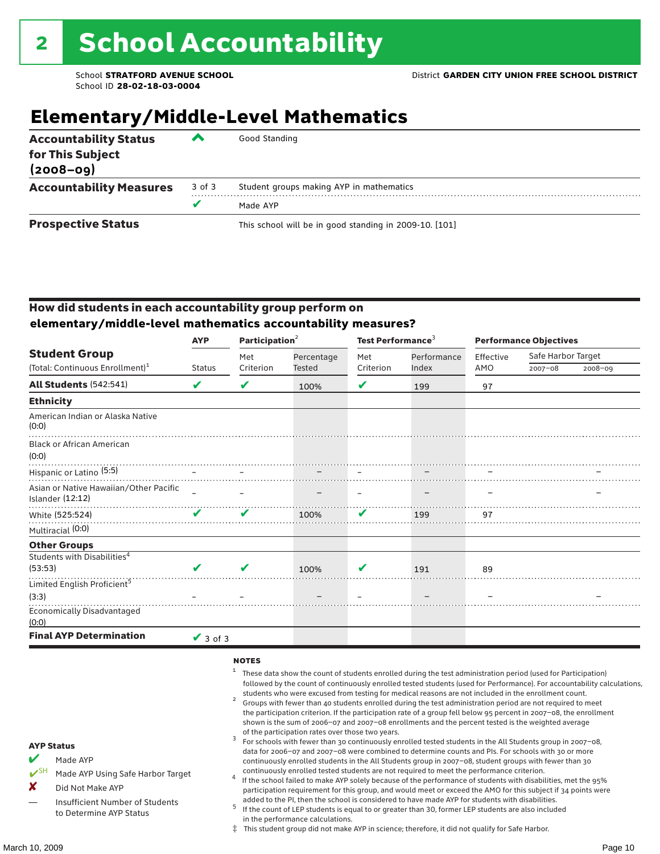### **Elementary/Middle-Level Mathematics**

| <b>Accountability Status</b><br>for This Subject<br>$(2008 - 09)$ | ▰      | Good Standing                                          |
|-------------------------------------------------------------------|--------|--------------------------------------------------------|
| <b>Accountability Measures</b>                                    | 3 of 3 | Student groups making AYP in mathematics               |
|                                                                   |        | Made AYP                                               |
| <b>Prospective Status</b>                                         |        | This school will be in good standing in 2009-10. [101] |

#### How did students in each accountability group perform on **elementary/middle-level mathematics accountability measures?**

|                                                            | <b>AYP</b>    | Participation <sup>2</sup> |               | Test Performance <sup>3</sup> |             | <b>Performance Objectives</b> |                    |         |  |
|------------------------------------------------------------|---------------|----------------------------|---------------|-------------------------------|-------------|-------------------------------|--------------------|---------|--|
| <b>Student Group</b>                                       |               | Met                        | Percentage    | Met                           | Performance | Effective                     | Safe Harbor Target |         |  |
| (Total: Continuous Enrollment) <sup>1</sup>                | <b>Status</b> | Criterion                  | <b>Tested</b> | Criterion                     | Index       | AMO                           | $2007 - 08$        | 2008-09 |  |
| <b>All Students (542:541)</b>                              | V             | V                          | 100%          | V                             | 199         | 97                            |                    |         |  |
| <b>Ethnicity</b>                                           |               |                            |               |                               |             |                               |                    |         |  |
| American Indian or Alaska Native<br>(0:0)                  |               |                            |               |                               |             |                               |                    |         |  |
| <b>Black or African American</b><br>(0:0)                  |               |                            |               |                               |             |                               |                    |         |  |
| Hispanic or Latino <sup>(5:5)</sup>                        |               |                            |               |                               |             |                               |                    |         |  |
| Asian or Native Hawaiian/Other Pacific<br>Islander (12:12) |               |                            |               |                               |             |                               |                    |         |  |
| White (525:524)                                            | ✔             | $\boldsymbol{\nu}$         | 100%          | ✔                             | 199         | 97                            |                    |         |  |
| Multiracial (0:0)                                          |               |                            |               |                               |             |                               |                    |         |  |
| <b>Other Groups</b>                                        |               |                            |               |                               |             |                               |                    |         |  |
| Students with Disabilities <sup>4</sup>                    |               |                            |               |                               |             |                               |                    |         |  |
| (53:53)                                                    |               | $\boldsymbol{\nu}$         | 100%          | V                             | 191         | 89                            |                    |         |  |
| Limited English Proficient <sup>5</sup>                    |               |                            |               |                               |             |                               |                    |         |  |
| (3:3)                                                      |               |                            |               |                               |             |                               |                    |         |  |
| <b>Economically Disadvantaged</b><br>(0:0)                 |               |                            |               |                               |             |                               |                    |         |  |
| <b>Final AYP Determination</b>                             | $\vee$ 3 of 3 |                            |               |                               |             |                               |                    |         |  |

#### **NOTES**

- $1$  These data show the count of students enrolled during the test administration period (used for Participation) followed by the count of continuously enrolled tested students (used for Performance). For accountability calculations,
- students who were excused from testing for medical reasons are not included in the enrollment count.<br><sup>2</sup> Groups with fewer than 40 students enrolled during the test administration period are not required to meet the participation criterion. If the participation rate of a group fell below 95 percent in 2007–08, the enrollment shown is the sum of 2006–07 and 2007–08 enrollments and the percent tested is the weighted average
- of the participation rates over those two years.<br><sup>3</sup> For schools with fewer than 30 continuously enrolled tested students in the All Students group in 2007–08, data for 2006–07 and 2007–08 were combined to determine counts and PIs. For schools with 30 or more continuously enrolled students in the All Students group in 2007–08, student groups with fewer than 30
- continuously enrolled tested students are not required to meet the performance criterion. <sup>4</sup> If the school failed to make AYP solely because of the performance of students with disabilities, met the 95% participation requirement for this group, and would meet or exceed the AMO for this subject if 34 points were added to the PI, then the school is considered to have made AYP for students with disabilities.
- $5$  If the count of LEP students is equal to or greater than 30, former LEP students are also included in the performance calculations.
- ‡ This student group did not make AYP in science; therefore, it did not qualify for Safe Harbor.
- Made AYP
	- Made AYP Using Safe Harbor Target
- X Did Not Make AYP
- Insufficient Number of Students to Determine AYP Status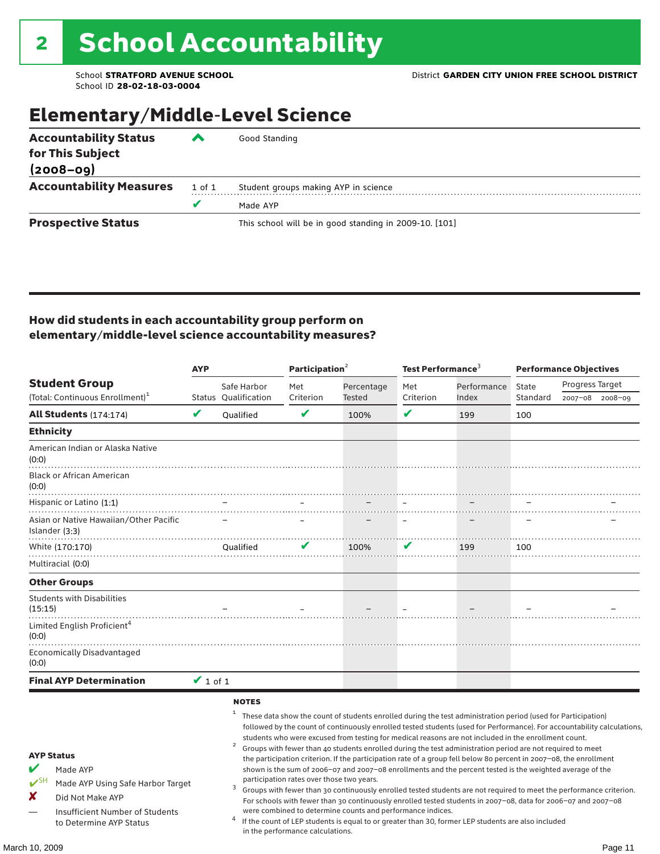### Elementary/Middle-Level Science

| <b>Accountability Status</b><br>for This Subject | ◚      | Good Standing                                          |
|--------------------------------------------------|--------|--------------------------------------------------------|
| $(2008 - 09)$                                    |        |                                                        |
| <b>Accountability Measures</b>                   | 1 of 1 | Student groups making AYP in science                   |
|                                                  |        | Made AYP                                               |
| <b>Prospective Status</b>                        |        | This school will be in good standing in 2009-10. [101] |

#### How did students in each accountability group perform on elementary/middle-level science accountability measures?

|                                                                                                                                                                                   | <b>AYP</b>    |                                        | Participation <sup>2</sup>                                                    |                                                            | Test Performance <sup>3</sup> |                                                                                                                                                                                                                                                                                                                                                                                                                                                                                                                                                                                                                                                                                                                                                                                                                                                                                                                                                                                                                                                 | <b>Performance Objectives</b> |                 |  |
|-----------------------------------------------------------------------------------------------------------------------------------------------------------------------------------|---------------|----------------------------------------|-------------------------------------------------------------------------------|------------------------------------------------------------|-------------------------------|-------------------------------------------------------------------------------------------------------------------------------------------------------------------------------------------------------------------------------------------------------------------------------------------------------------------------------------------------------------------------------------------------------------------------------------------------------------------------------------------------------------------------------------------------------------------------------------------------------------------------------------------------------------------------------------------------------------------------------------------------------------------------------------------------------------------------------------------------------------------------------------------------------------------------------------------------------------------------------------------------------------------------------------------------|-------------------------------|-----------------|--|
| <b>Student Group</b>                                                                                                                                                              |               | Safe Harbor                            | Met                                                                           | Percentage                                                 | Met                           | Performance                                                                                                                                                                                                                                                                                                                                                                                                                                                                                                                                                                                                                                                                                                                                                                                                                                                                                                                                                                                                                                     | State                         | Progress Target |  |
| (Total: Continuous Enrollment) <sup>1</sup>                                                                                                                                       |               | Status Qualification                   | Criterion                                                                     | Tested                                                     | Criterion                     | Index                                                                                                                                                                                                                                                                                                                                                                                                                                                                                                                                                                                                                                                                                                                                                                                                                                                                                                                                                                                                                                           | Standard                      | 2007-08 2008-09 |  |
| All Students (174:174)                                                                                                                                                            | V             | Qualified                              | $\mathbf v$                                                                   | 100%                                                       | V                             | 199                                                                                                                                                                                                                                                                                                                                                                                                                                                                                                                                                                                                                                                                                                                                                                                                                                                                                                                                                                                                                                             | 100                           |                 |  |
| <b>Ethnicity</b>                                                                                                                                                                  |               |                                        |                                                                               |                                                            |                               |                                                                                                                                                                                                                                                                                                                                                                                                                                                                                                                                                                                                                                                                                                                                                                                                                                                                                                                                                                                                                                                 |                               |                 |  |
| American Indian or Alaska Native<br>(0:0)                                                                                                                                         |               |                                        |                                                                               |                                                            |                               |                                                                                                                                                                                                                                                                                                                                                                                                                                                                                                                                                                                                                                                                                                                                                                                                                                                                                                                                                                                                                                                 |                               |                 |  |
| <b>Black or African American</b><br>(0:0)                                                                                                                                         |               |                                        |                                                                               |                                                            |                               |                                                                                                                                                                                                                                                                                                                                                                                                                                                                                                                                                                                                                                                                                                                                                                                                                                                                                                                                                                                                                                                 |                               |                 |  |
| Hispanic or Latino (1:1)                                                                                                                                                          |               |                                        |                                                                               |                                                            |                               |                                                                                                                                                                                                                                                                                                                                                                                                                                                                                                                                                                                                                                                                                                                                                                                                                                                                                                                                                                                                                                                 |                               |                 |  |
| Asian or Native Hawaiian/Other Pacific<br>Islander (3:3)                                                                                                                          |               |                                        |                                                                               |                                                            |                               |                                                                                                                                                                                                                                                                                                                                                                                                                                                                                                                                                                                                                                                                                                                                                                                                                                                                                                                                                                                                                                                 |                               |                 |  |
| White (170:170)                                                                                                                                                                   |               | <b>Oualified</b>                       | V                                                                             | 100%                                                       | V                             | 199                                                                                                                                                                                                                                                                                                                                                                                                                                                                                                                                                                                                                                                                                                                                                                                                                                                                                                                                                                                                                                             | 100                           |                 |  |
| Multiracial (0:0)                                                                                                                                                                 |               |                                        |                                                                               |                                                            |                               |                                                                                                                                                                                                                                                                                                                                                                                                                                                                                                                                                                                                                                                                                                                                                                                                                                                                                                                                                                                                                                                 |                               |                 |  |
| <b>Other Groups</b>                                                                                                                                                               |               |                                        |                                                                               |                                                            |                               |                                                                                                                                                                                                                                                                                                                                                                                                                                                                                                                                                                                                                                                                                                                                                                                                                                                                                                                                                                                                                                                 |                               |                 |  |
| <b>Students with Disabilities</b><br>(15:15)                                                                                                                                      |               |                                        |                                                                               |                                                            |                               |                                                                                                                                                                                                                                                                                                                                                                                                                                                                                                                                                                                                                                                                                                                                                                                                                                                                                                                                                                                                                                                 |                               |                 |  |
| Limited English Proficient <sup>4</sup><br>(0:0)                                                                                                                                  |               |                                        |                                                                               |                                                            |                               |                                                                                                                                                                                                                                                                                                                                                                                                                                                                                                                                                                                                                                                                                                                                                                                                                                                                                                                                                                                                                                                 |                               |                 |  |
| <b>Economically Disadvantaged</b><br>(0:0)                                                                                                                                        |               |                                        |                                                                               |                                                            |                               |                                                                                                                                                                                                                                                                                                                                                                                                                                                                                                                                                                                                                                                                                                                                                                                                                                                                                                                                                                                                                                                 |                               |                 |  |
| <b>Final AYP Determination</b>                                                                                                                                                    | $\vee$ 1 of 1 |                                        |                                                                               |                                                            |                               |                                                                                                                                                                                                                                                                                                                                                                                                                                                                                                                                                                                                                                                                                                                                                                                                                                                                                                                                                                                                                                                 |                               |                 |  |
| <b>AYP Status</b><br>V<br>Made AYP<br>$V^{\text{SH}}$<br>Made AYP Using Safe Harbor Target<br>x<br>Did Not Make AYP<br>Insufficient Number of Students<br>to Determine AYP Status |               | <b>NOTES</b><br>$\mathbf{1}$<br>2<br>3 | participation rates over those two years.<br>in the performance calculations. | were combined to determine counts and performance indices. |                               | These data show the count of students enrolled during the test administration period (used for Participation)<br>followed by the count of continuously enrolled tested students (used for Performance). For accountability calculations,<br>students who were excused from testing for medical reasons are not included in the enrollment count.<br>Groups with fewer than 40 students enrolled during the test administration period are not required to meet<br>the participation criterion. If the participation rate of a group fell below 80 percent in 2007-08, the enrollment<br>shown is the sum of 2006-07 and 2007-08 enrollments and the percent tested is the weighted average of the<br>Groups with fewer than 30 continuously enrolled tested students are not required to meet the performance criterion.<br>For schools with fewer than 30 continuously enrolled tested students in 2007-08, data for 2006-07 and 2007-08<br>If the count of LEP students is equal to or greater than 30, former LEP students are also included |                               |                 |  |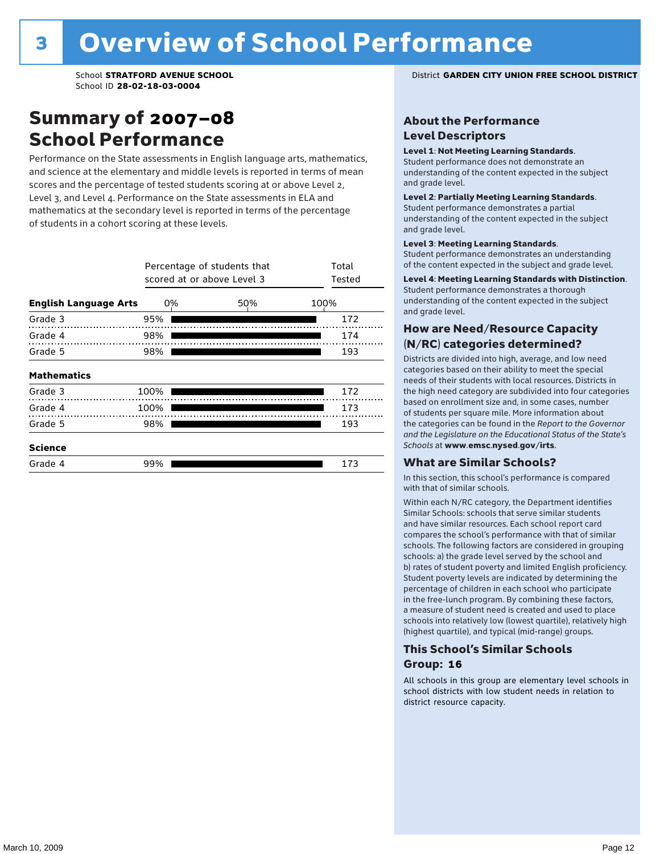### Summary of 2007–08 School Performance

Performance on the State assessments in English language arts, mathematics, and science at the elementary and middle levels is reported in terms of mean scores and the percentage of tested students scoring at or above Level 2, Level 3, and Level 4. Performance on the State assessments in ELA and mathematics at the secondary level is reported in terms of the percentage of students in a cohort scoring at these levels.

|                              |      | Percentage of students that<br>scored at or above Level 3 |      | Total<br>Tested |
|------------------------------|------|-----------------------------------------------------------|------|-----------------|
| <b>English Language Arts</b> | 0%   | 50%                                                       | 100% |                 |
| Grade 3                      | 95%  |                                                           |      | 172             |
| Grade 4                      | 98%  |                                                           |      | 174             |
| Grade 5                      | 98%  |                                                           |      | 193             |
| <b>Mathematics</b>           |      |                                                           |      |                 |
| Grade 3                      | 100% |                                                           |      | 172             |
| Grade 4                      | 100% |                                                           |      | 173             |
| Grade 5                      | 98%  |                                                           |      | 193             |
| <b>Science</b>               |      |                                                           |      |                 |
| Grade 4                      | 99%  |                                                           |      | 173             |

School **STRATFORD AVENUE SCHOOL** District **GARDEN CITY UNION FREE SCHOOL DISTRICT**

#### About the Performance Level Descriptors

#### Level 1: Not Meeting Learning Standards.

Student performance does not demonstrate an understanding of the content expected in the subject and grade level.

#### Level 2: Partially Meeting Learning Standards.

Student performance demonstrates a partial understanding of the content expected in the subject and grade level.

#### Level 3: Meeting Learning Standards.

Student performance demonstrates an understanding of the content expected in the subject and grade level.

#### Level 4: Meeting Learning Standards with Distinction.

Student performance demonstrates a thorough understanding of the content expected in the subject and grade level.

#### How are Need/Resource Capacity (N/RC) categories determined?

Districts are divided into high, average, and low need categories based on their ability to meet the special needs of their students with local resources. Districts in the high need category are subdivided into four categories based on enrollment size and, in some cases, number of students per square mile. More information about the categories can be found in the *Report to the Governor and the Legislature on the Educational Status of the State's Schools* at www.emsc.nysed.gov/irts.

#### What are Similar Schools?

In this section, this school's performance is compared with that of similar schools.

Within each N/RC category, the Department identifies Similar Schools: schools that serve similar students and have similar resources. Each school report card compares the school's performance with that of similar schools. The following factors are considered in grouping schools: a) the grade level served by the school and b) rates of student poverty and limited English proficiency. Student poverty levels are indicated by determining the percentage of children in each school who participate in the free-lunch program. By combining these factors, a measure of student need is created and used to place schools into relatively low (lowest quartile), relatively high (highest quartile), and typical (mid-range) groups.

#### This School's Similar Schools Group: **16**

All schools in this group are elementary level schools in school districts with low student needs in relation to district resource capacity.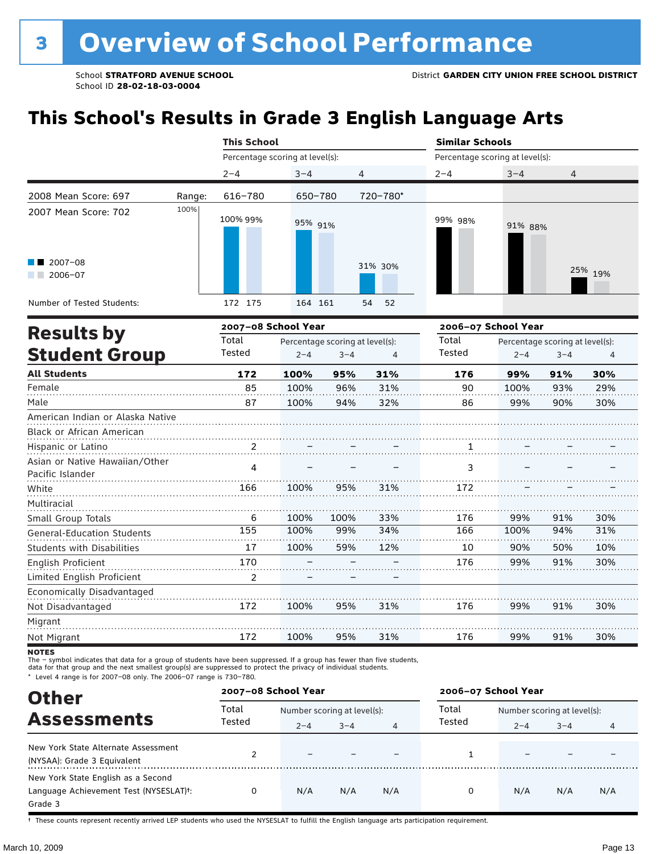# **This School's Results in Grade 3 English Language Arts**

|                                                    |        | <b>This School</b>              |         |                                 |                | <b>Similar Schools</b>          |         |                                 |         |  |
|----------------------------------------------------|--------|---------------------------------|---------|---------------------------------|----------------|---------------------------------|---------|---------------------------------|---------|--|
|                                                    |        | Percentage scoring at level(s): |         |                                 |                | Percentage scoring at level(s): |         |                                 |         |  |
|                                                    |        | $2 - 4$                         | $3 - 4$ |                                 | 4              | $2 - 4$                         | $3 - 4$ | 4                               |         |  |
| 2008 Mean Score: 697                               | Range: | 616-780                         | 650-780 |                                 | 720-780*       |                                 |         |                                 |         |  |
| 2007 Mean Score: 702                               | 100%   | 100% 99%                        | 95% 91% |                                 |                | 99% 98%                         | 91% 88% |                                 |         |  |
| $\blacksquare$ 2007-08<br>$\blacksquare$ 2006-07   |        |                                 |         |                                 | 31% 30%        |                                 |         |                                 | 25% 19% |  |
| Number of Tested Students:                         |        | 172 175                         | 164 161 |                                 | 54<br>52       |                                 |         |                                 |         |  |
| <b>Results by</b>                                  |        | 2007-08 School Year             |         |                                 |                | 2006-07 School Year             |         |                                 |         |  |
|                                                    |        | Total                           |         | Percentage scoring at level(s): |                | Total                           |         | Percentage scoring at level(s): |         |  |
| <b>Student Group</b>                               |        | Tested                          | $2 - 4$ | $3 - 4$                         | $\overline{4}$ | Tested                          | $2 - 4$ | $3 - 4$                         | 4       |  |
| <b>All Students</b>                                |        | 172                             | 100%    | 95%                             | 31%            | 176                             | 99%     | 91%                             | 30%     |  |
| Female                                             |        | 85                              | 100%    | 96%                             | 31%            | 90                              | 100%    | 93%                             | 29%     |  |
| Male                                               |        | 87                              | 100%    | 94%                             | 32%            | 86                              | 99%     | 90%                             | 30%     |  |
| American Indian or Alaska Native                   |        |                                 |         |                                 |                |                                 |         |                                 |         |  |
| Black or African American                          |        |                                 |         |                                 |                |                                 |         |                                 |         |  |
| Hispanic or Latino                                 |        |                                 |         |                                 |                | 1                               |         |                                 |         |  |
| Asian or Native Hawaiian/Other<br>Pacific Islander |        | 4                               |         |                                 |                | 3                               |         |                                 |         |  |
| White                                              |        | 166                             | 100%    | 95%                             | 31%            | 172                             |         |                                 |         |  |
| Multiracial                                        |        |                                 |         |                                 |                |                                 |         |                                 |         |  |
| Small Group Totals                                 |        | 6                               | 100%    | 100%                            | 33%            | 176                             | 99%     | 91%                             | 30%     |  |
| <b>General-Education Students</b>                  |        | 155                             | 100%    | 99%                             | 34%            | 166                             | 100%    | 94%                             | 31%     |  |
| <b>Students with Disabilities</b>                  |        | 17                              | 100%    | 59%                             | 12%            | 10                              | 90%     | 50%                             | 10%     |  |
| English Proficient                                 |        | 170                             |         |                                 |                | 176                             | 99%     | 91%                             | 30%     |  |
| Limited English Proficient                         |        | $\overline{2}$                  |         |                                 |                |                                 |         |                                 |         |  |
| Economically Disadvantaged                         |        |                                 |         |                                 |                |                                 |         |                                 |         |  |
| Not Disadvantaged                                  |        | 172                             | 100%    | 95%                             | 31%            | 176                             | 99%     | 91%                             | 30%     |  |

**NOTES** 

Migrant Not Migrant

172

100%

a da da da daga

The – symbol indicates that data for a group of students have been suppressed. If a group has fewer than five students,<br>data for that group and the next smallest group(s) are suppressed to protect the privacy of individual

\* Level 4 range is for 2007–08 only. The 2006–07 range is 730–780.

| <b>Other</b>                                                                                         | 2007-08 School Year |         |                             |     | 2006-07 School Year |                             |         |     |  |
|------------------------------------------------------------------------------------------------------|---------------------|---------|-----------------------------|-----|---------------------|-----------------------------|---------|-----|--|
| <b>Assessments</b>                                                                                   | Total               |         | Number scoring at level(s): |     |                     | Number scoring at level(s): |         |     |  |
|                                                                                                      | Tested              | $2 - 4$ | $3 - 4$                     | 4   | Tested              | $2 - 4$                     | $3 - 4$ | 4   |  |
| New York State Alternate Assessment<br>(NYSAA): Grade 3 Equivalent                                   |                     |         |                             |     |                     |                             |         |     |  |
| New York State English as a Second<br>Language Achievement Test (NYSESLAT) <sup>+</sup> :<br>Grade 3 |                     | N/A     | N/A                         | N/A | O                   | N/A                         | N/A     | N/A |  |

95%

31%

176

. . . . . . . . . . . .

99%

. . . . . . . . . . .

91%

. . . . . . . . . . . . .

30%

. . . . . . . . . . . . .

† These counts represent recently arrived LEP students who used the NYSESLAT to fulfill the English language arts participation requirement.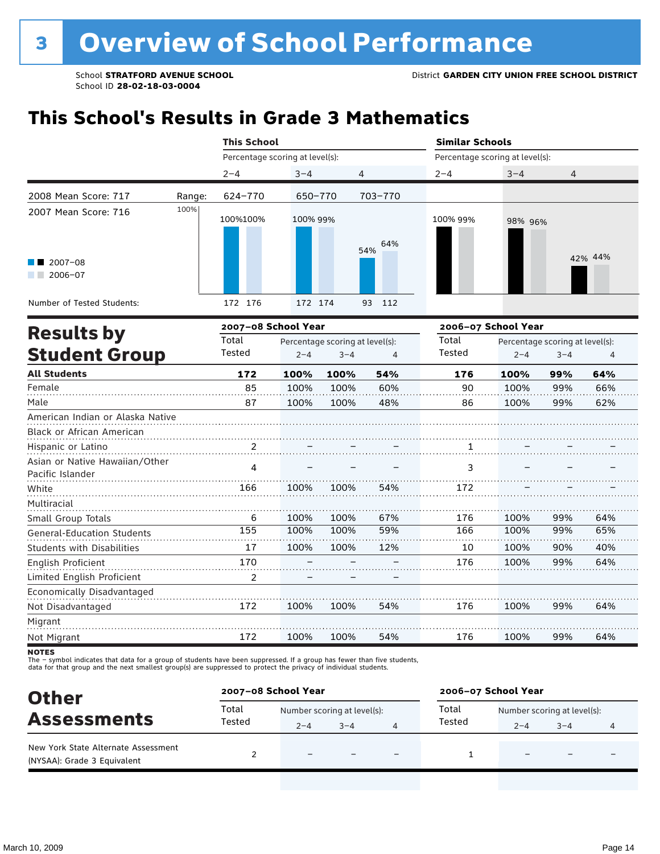## **This School's Results in Grade 3 Mathematics**

|                                                               | <b>This School</b>              |          |                                            |                | <b>Similar Schools</b>          |         |                                            |         |
|---------------------------------------------------------------|---------------------------------|----------|--------------------------------------------|----------------|---------------------------------|---------|--------------------------------------------|---------|
|                                                               | Percentage scoring at level(s): |          |                                            |                | Percentage scoring at level(s): |         |                                            |         |
|                                                               | $2 - 4$                         | $3 - 4$  |                                            | $\overline{4}$ | $2 - 4$                         | $3 - 4$ | 4                                          |         |
| 2008 Mean Score: 717<br>Range:                                | 624-770                         | 650-770  |                                            | 703-770        |                                 |         |                                            |         |
| 100%<br>2007 Mean Score: 716                                  | 100%100%                        | 100% 99% |                                            | 64%<br>54%     | 100% 99%                        | 98% 96% |                                            |         |
| $2007 - 08$<br>$2006 - 07$                                    |                                 |          |                                            |                |                                 |         |                                            | 42% 44% |
| Number of Tested Students:                                    | 172 176                         | 172 174  |                                            | 93<br>112      |                                 |         |                                            |         |
| <b>Results by</b>                                             | 2007-08 School Year             |          |                                            |                | 2006-07 School Year             |         |                                            |         |
| <b>Student Group</b>                                          | Total<br>Tested                 | $2 - 4$  | Percentage scoring at level(s):<br>$3 - 4$ | $\overline{4}$ | Total<br>Tested                 | $2 - 4$ | Percentage scoring at level(s):<br>$3 - 4$ | 4       |
| <b>All Students</b>                                           | 172                             | 100%     | 100%                                       | 54%            | 176                             | 100%    | 99%                                        | 64%     |
| Female                                                        | 85                              | 100%     | 100%                                       | 60%            | 90                              | 100%    | 99%                                        | 66%     |
| Male                                                          | 87                              | 100%     | 100%                                       | 48%            | 86                              | 100%    | 99%                                        | 62%     |
| American Indian or Alaska Native<br>Black or African American |                                 |          |                                            |                |                                 |         |                                            |         |
| Hispanic or Latino                                            | 2                               |          |                                            |                | 1                               |         |                                            |         |
| Asian or Native Hawaiian/Other<br>Pacific Islander            | 4                               |          |                                            |                | 3                               |         |                                            |         |
| White                                                         | 166                             | 100%     | 100%                                       | 54%            | 172                             |         |                                            |         |
| Multiracial<br>Small Group Totals                             | 6                               | 100%     | 100%                                       | 67%            | 176                             | 100%    | 99%                                        | 64%     |
| <b>General-Education Students</b>                             | 155                             | 100%     | 100%                                       | 59%            | 166                             | 100%    | 99%                                        | 65%     |
| <b>Students with Disabilities</b>                             | 17                              | 100%     | 100%                                       | 12%            | 10                              | 100%    | 90%                                        | 40%     |
| <b>English Proficient</b>                                     | 170                             |          |                                            |                | 176                             | 100%    | 99%                                        | 64%     |
| Limited English Proficient                                    | $\mathcal{P}$                   |          |                                            |                |                                 |         |                                            |         |
| Economically Disadvantaged                                    |                                 |          |                                            |                |                                 |         |                                            |         |
| Not Disadvantaged                                             | 172                             | 100%     | 100%                                       | 54%            | 176                             | 100%    | 99%                                        | 64%     |
| Migrant                                                       |                                 |          |                                            |                |                                 |         |                                            |         |
| Not Migrant                                                   | 172                             | 100%     | 100%                                       | 54%            | 176                             | 100%    | 99%                                        | 64%     |

**NOTES** 

The – symbol indicates that data for a group of students have been suppressed. If a group has fewer than five students,<br>data for that group and the next smallest group(s) are suppressed to protect the privacy of individual

| <b>Other</b>                                                       | 2007-08 School Year |                             |         |                          | 2006-07 School Year         |         |                          |   |  |
|--------------------------------------------------------------------|---------------------|-----------------------------|---------|--------------------------|-----------------------------|---------|--------------------------|---|--|
|                                                                    | Total               | Number scoring at level(s): |         | Total                    | Number scoring at level(s): |         |                          |   |  |
| <b>Assessments</b>                                                 | Tested              | $2 - 4$                     | $3 - 4$ |                          | Tested                      | $2 - 4$ | $3 - 4$                  | 4 |  |
| New York State Alternate Assessment<br>(NYSAA): Grade 3 Equivalent |                     | $\overline{\phantom{0}}$    |         | $\overline{\phantom{0}}$ |                             | -       | $\overline{\phantom{0}}$ |   |  |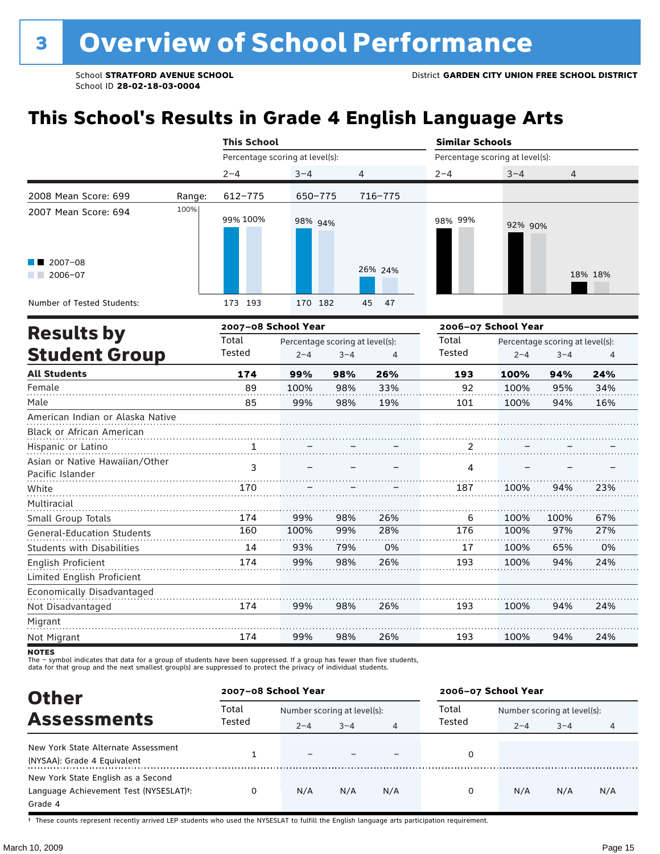# **This School's Results in Grade 4 English Language Arts**

|                                                               |        | <b>This School</b>              |                                 |         |          | <b>Similar Schools</b>          |                     |                                 |         |
|---------------------------------------------------------------|--------|---------------------------------|---------------------------------|---------|----------|---------------------------------|---------------------|---------------------------------|---------|
|                                                               |        | Percentage scoring at level(s): |                                 |         |          | Percentage scoring at level(s): |                     |                                 |         |
|                                                               |        | $2 - 4$                         | $3 - 4$                         | 4       |          | $2 - 4$                         | $3 - 4$             | 4                               |         |
| 2008 Mean Score: 699                                          | Range: | 612-775                         | 650-775                         |         | 716-775  |                                 |                     |                                 |         |
| 2007 Mean Score: 694                                          | 100%   | 99% 100%                        | 98% 94%                         |         |          | 98% 99%                         | 92% 90%             |                                 |         |
| 2007-08<br>$2006 - 07$                                        |        |                                 |                                 |         | 26% 24%  |                                 |                     |                                 | 18% 18% |
| Number of Tested Students:                                    |        | 173 193                         | 170 182                         |         | 45<br>47 |                                 |                     |                                 |         |
| <b>Results by</b>                                             |        | 2007-08 School Year             |                                 |         |          |                                 | 2006-07 School Year |                                 |         |
|                                                               |        | Total                           | Percentage scoring at level(s): |         |          | Total                           |                     | Percentage scoring at level(s): |         |
| <b>Student Group</b>                                          |        | Tested                          | $2 - 4$                         | $3 - 4$ | 4        | Tested                          | $2 - 4$             | $3 - 4$                         | 4       |
| <b>All Students</b>                                           |        | 174                             | 99%                             | 98%     | 26%      | 193                             | 100%                | 94%                             | 24%     |
| Female                                                        |        | 89                              | 100%                            | 98%     | 33%      | 92                              | 100%                | 95%                             | 34%     |
| Male                                                          |        | 85                              | 99%                             | 98%     | 19%      | 101                             | 100%                | 94%                             | 16%     |
| American Indian or Alaska Native<br>Black or African American |        |                                 |                                 |         |          |                                 |                     |                                 |         |
| Hispanic or Latino                                            |        | 1                               |                                 |         |          | 2                               |                     |                                 |         |
| Asian or Native Hawaiian/Other                                |        |                                 |                                 |         |          |                                 |                     |                                 |         |
| Pacific Islander                                              |        | 3                               |                                 |         |          | 4                               |                     |                                 |         |
| White                                                         |        | 170                             |                                 |         |          | 187                             | 100%                | 94%                             | 23%     |
| Multiracial                                                   |        |                                 |                                 |         |          |                                 |                     |                                 |         |
| Small Group Totals                                            |        | 174                             | 99%                             | 98%     | 26%      | 6                               | 100%                | 100%                            | 67%     |
| <b>General-Education Students</b>                             |        | 160                             | 100%                            | 99%     | 28%      | 176                             | 100%                | 97%                             | 27%     |
| <b>Students with Disabilities</b>                             |        | 14                              | 93%                             | 79%     | 0%       | 17                              | 100%                | 65%                             | 0%      |
| English Proficient                                            |        | 174                             | 99%                             | 98%     | 26%      | 193                             | 100%                | 94%                             | 24%     |
| Limited English Proficient                                    |        |                                 |                                 |         |          |                                 |                     |                                 |         |
| Economically Disadvantaged                                    |        |                                 |                                 |         |          |                                 |                     |                                 |         |
| Not Disadvantaged                                             |        | 174                             | 99%                             | 98%     | 26%      | 193                             | 100%                | 94%                             | 24%     |
| Migrant                                                       |        |                                 |                                 |         |          |                                 |                     |                                 |         |
| Not Migrant                                                   |        | 174                             | 99%                             | 98%     | 26%      | 193                             | 100%                | 94%                             | 24%     |

**NOTES** 

The – symbol indicates that data for a group of students have been suppressed. If a group has fewer than five students,<br>data for that group and the next smallest group(s) are suppressed to protect the privacy of individual

| <b>Other</b>                                                                                         | 2007-08 School Year |                             |         |     | 2006-07 School Year |                             |         |     |  |
|------------------------------------------------------------------------------------------------------|---------------------|-----------------------------|---------|-----|---------------------|-----------------------------|---------|-----|--|
|                                                                                                      | Total               | Number scoring at level(s): |         |     | Total               | Number scoring at level(s): |         |     |  |
| <b>Assessments</b>                                                                                   | Tested              | $2 - 4$                     | $3 - 4$ | 4   | Tested              | $2 - 4$                     | $3 - 4$ | 4   |  |
| New York State Alternate Assessment<br>(NYSAA): Grade 4 Equivalent                                   |                     |                             |         |     | 0                   |                             |         |     |  |
| New York State English as a Second<br>Language Achievement Test (NYSESLAT) <sup>+</sup> :<br>Grade 4 |                     | N/A                         | N/A     | N/A | 0                   | N/A                         | N/A     | N/A |  |

† These counts represent recently arrived LEP students who used the NYSESLAT to fulfill the English language arts participation requirement.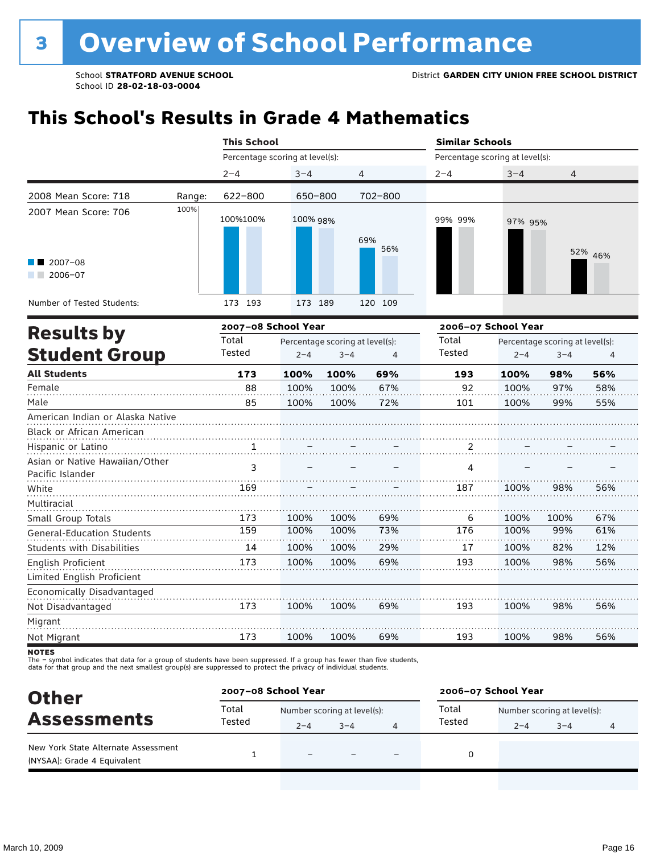## **This School's Results in Grade 4 Mathematics**

|                                                               |        | <b>This School</b>              |          |                                 |                | <b>Similar Schools</b>          |                     |                                 |         |
|---------------------------------------------------------------|--------|---------------------------------|----------|---------------------------------|----------------|---------------------------------|---------------------|---------------------------------|---------|
|                                                               |        | Percentage scoring at level(s): |          |                                 |                | Percentage scoring at level(s): |                     |                                 |         |
|                                                               |        | $2 - 4$                         | $3 - 4$  |                                 | $\overline{4}$ | $2 - 4$                         | $3 - 4$             | $\overline{4}$                  |         |
| 2008 Mean Score: 718                                          | Range: | 622-800                         | 650-800  |                                 | 702-800        |                                 |                     |                                 |         |
| 2007 Mean Score: 706                                          | 100%   | 100%100%                        | 100% 98% |                                 | 69%<br>56%     | 99% 99%                         | 97% 95%             |                                 |         |
| $2007 - 08$<br>$2006 - 07$                                    |        |                                 |          |                                 |                |                                 |                     |                                 | 52% 46% |
| Number of Tested Students:                                    |        | 173 193                         | 173 189  |                                 | 120 109        |                                 |                     |                                 |         |
| <b>Results by</b>                                             |        | 2007-08 School Year             |          |                                 |                |                                 | 2006-07 School Year |                                 |         |
|                                                               |        | Total                           |          | Percentage scoring at level(s): |                | Total                           |                     | Percentage scoring at level(s): |         |
| <b>Student Group</b>                                          |        | Tested                          | $2 - 4$  | $3 - 4$                         | 4              | Tested                          | $2 - 4$             | $3 - 4$                         | 4       |
| <b>All Students</b>                                           |        | 173                             | 100%     | 100%                            | 69%            | 193                             | 100%                | 98%                             | 56%     |
| Female                                                        |        | 88                              | 100%     | 100%                            | 67%            | 92                              | 100%                | 97%                             | 58%     |
| Male                                                          |        | 85                              | 100%     | 100%                            | 72%            | 101                             | 100%                | 99%                             | 55%     |
| American Indian or Alaska Native<br>Black or African American |        |                                 |          |                                 |                |                                 |                     |                                 |         |
| Hispanic or Latino                                            |        | 1                               |          |                                 |                | 2                               |                     |                                 |         |
| Asian or Native Hawaiian/Other<br>Pacific Islander            |        | 3                               |          |                                 |                | 4                               |                     |                                 |         |
| White                                                         |        | 169                             |          |                                 |                | 187                             | 100%                | 98%                             | 56%     |
| Multiracial<br>Small Group Totals                             |        | 173                             | 100%     | 100%                            | 69%            | 6                               | 100%                | 100%                            | 67%     |
| General-Education Students                                    |        | 159                             | 100%     | 100%                            | 73%            | 176                             | 100%                | 99%                             | 61%     |
| Students with Disabilities                                    |        | 14                              | 100%     | 100%                            | 29%            | 17                              | 100%                | 82%                             | 12%     |
| <b>English Proficient</b>                                     |        | 173                             | 100%     | 100%                            | 69%            | 193                             | 100%                | 98%                             | 56%     |
| Limited English Proficient                                    |        |                                 |          |                                 |                |                                 |                     |                                 |         |
| Economically Disadvantaged                                    |        |                                 |          |                                 |                |                                 |                     |                                 |         |
| Not Disadvantaged                                             |        | 173                             | 100%     | 100%                            | 69%            | 193                             | 100%                | 98%                             | 56%     |
| Migrant                                                       |        |                                 |          |                                 |                |                                 |                     |                                 |         |
| Not Migrant                                                   |        | 173                             | 100%     | 100%                            | 69%            | 193                             | 100%                | 98%                             | 56%     |

**NOTES** 

The – symbol indicates that data for a group of students have been suppressed. If a group has fewer than five students,<br>data for that group and the next smallest group(s) are suppressed to protect the privacy of individual

| <b>Other</b>                                                       | 2007-08 School Year |                             |         |                          | 2006-07 School Year |                             |         |  |  |
|--------------------------------------------------------------------|---------------------|-----------------------------|---------|--------------------------|---------------------|-----------------------------|---------|--|--|
| <b>Assessments</b>                                                 | Total               | Number scoring at level(s): |         |                          | Total               | Number scoring at level(s): |         |  |  |
|                                                                    | Tested              | $2 - 4$                     | $3 - 4$ |                          | Tested              | $2 - 4$                     | $3 - 4$ |  |  |
| New York State Alternate Assessment<br>(NYSAA): Grade 4 Equivalent |                     | $\overline{\phantom{0}}$    |         | $\overline{\phantom{0}}$ | 0                   |                             |         |  |  |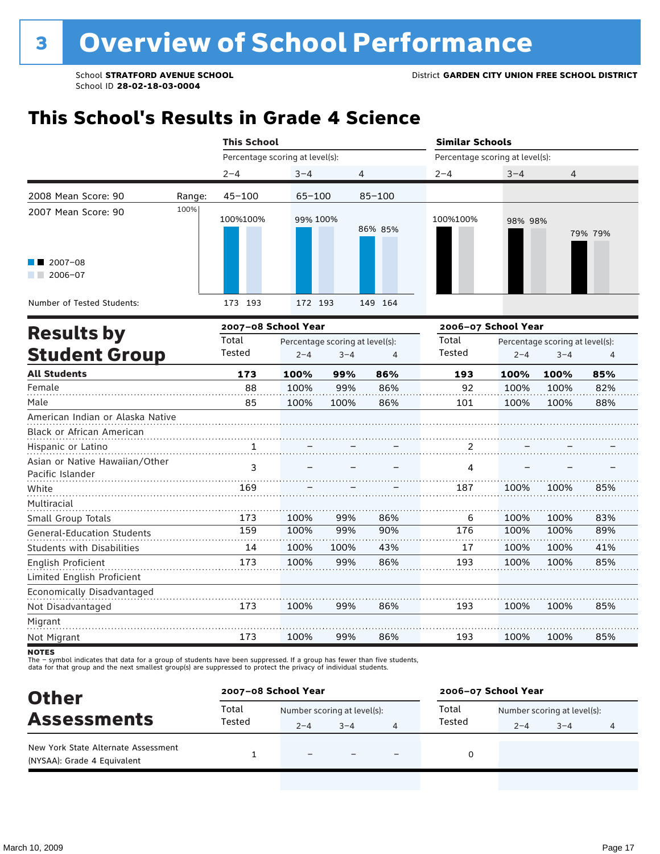### **This School's Results in Grade 4 Science**

|                                                               |        | <b>This School</b>              |            |                                                              |                     | <b>Similar Schools</b>          |                                                       |                |         |  |  |
|---------------------------------------------------------------|--------|---------------------------------|------------|--------------------------------------------------------------|---------------------|---------------------------------|-------------------------------------------------------|----------------|---------|--|--|
|                                                               |        | Percentage scoring at level(s): |            |                                                              |                     | Percentage scoring at level(s): |                                                       |                |         |  |  |
|                                                               |        | $2 - 4$                         | $3 - 4$    |                                                              | $\overline{4}$      | $2 - 4$                         | $3 - 4$                                               | $\overline{4}$ |         |  |  |
| 2008 Mean Score: 90                                           | Range: | $45 - 100$                      | $65 - 100$ |                                                              | $85 - 100$          |                                 |                                                       |                |         |  |  |
| 2007 Mean Score: 90                                           | 100%   | 100%100%                        | 99% 100%   |                                                              | 86% 85%             | 100%100%                        | 98% 98%                                               |                | 79% 79% |  |  |
| $2007 - 08$<br>$2006 - 07$                                    |        |                                 |            |                                                              |                     |                                 |                                                       |                |         |  |  |
| Number of Tested Students:                                    |        | 173 193                         | 172 193    |                                                              | 149 164             |                                 |                                                       |                |         |  |  |
| <b>Results by</b>                                             |        | 2007-08 School Year             |            |                                                              | 2006-07 School Year |                                 |                                                       |                |         |  |  |
| <b>Student Group</b>                                          |        | Total<br>Tested                 | $2 - 4$    | Percentage scoring at level(s):<br>$3 - 4$<br>$\overline{4}$ |                     | Total<br>Tested                 | Percentage scoring at level(s):<br>$3 - 4$<br>$2 - 4$ |                | 4       |  |  |
| <b>All Students</b>                                           |        | 173                             | 100%       | 99%                                                          | 86%                 | 193                             | 100%                                                  | 100%           | 85%     |  |  |
| Female                                                        |        | 88                              | 100%       | 99%                                                          | 86%                 | 92                              | 100%                                                  | 100%           | 82%     |  |  |
| Male                                                          |        | 85                              | 100%       | 100%                                                         | 86%                 | 101                             | 100%                                                  | 100%           | 88%     |  |  |
| American Indian or Alaska Native<br>Black or African American |        |                                 |            |                                                              |                     |                                 |                                                       |                |         |  |  |
| Hispanic or Latino                                            |        | 1                               |            |                                                              |                     | 2                               |                                                       |                |         |  |  |
| Asian or Native Hawaiian/Other<br>Pacific Islander            |        | 3                               |            |                                                              |                     | 4                               |                                                       |                |         |  |  |
| White                                                         |        | 169                             |            |                                                              |                     | 187                             | 100%                                                  | 100%           | 85%     |  |  |
| Multiracial                                                   |        |                                 |            |                                                              |                     |                                 |                                                       |                |         |  |  |
| Small Group Totals                                            |        | 173                             | 100%       | 99%                                                          | 86%                 | 6                               | 100%                                                  | 100%           | 83%     |  |  |
| <b>General-Education Students</b>                             |        | 159                             | 100%       | 99%                                                          | 90%                 | 176                             | 100%                                                  | 100%           | 89%     |  |  |
| <b>Students with Disabilities</b>                             |        | 14                              | 100%       | 100%                                                         | 43%                 | 17                              | 100%                                                  | 100%           | 41%     |  |  |
| <b>English Proficient</b>                                     |        | 173                             | 100%       | 99%                                                          | 86%                 | 193                             | 100%                                                  | 100%           | 85%     |  |  |
| Limited English Proficient                                    |        |                                 |            |                                                              |                     |                                 |                                                       |                |         |  |  |
| Economically Disadvantaged                                    |        |                                 |            |                                                              |                     |                                 |                                                       |                |         |  |  |
| Not Disadvantaged                                             |        | 173                             | 100%       | 99%                                                          | 86%                 | 193                             | 100%                                                  | 100%           | 85%     |  |  |
| Migrant                                                       |        |                                 |            |                                                              |                     |                                 |                                                       |                |         |  |  |
| Not Migrant                                                   |        | 173                             | 100%       | 99%                                                          | 86%                 | 193                             | 100%                                                  | 100%           | 85%     |  |  |

**NOTES** 

The – symbol indicates that data for a group of students have been suppressed. If a group has fewer than five students,<br>data for that group and the next smallest group(s) are suppressed to protect the privacy of individual

| <b>Other</b><br><b>Assessments</b>                                 | 2007-08 School Year |                             |         |  | 2006-07 School Year |                             |         |   |  |
|--------------------------------------------------------------------|---------------------|-----------------------------|---------|--|---------------------|-----------------------------|---------|---|--|
|                                                                    | Total<br>Tested     | Number scoring at level(s): |         |  | Total               | Number scoring at level(s): |         |   |  |
|                                                                    |                     | $2 - 4$                     | $3 - 4$ |  | Tested              | $2 - 4$                     | $3 - 4$ | 4 |  |
| New York State Alternate Assessment<br>(NYSAA): Grade 4 Equivalent |                     |                             |         |  |                     |                             |         |   |  |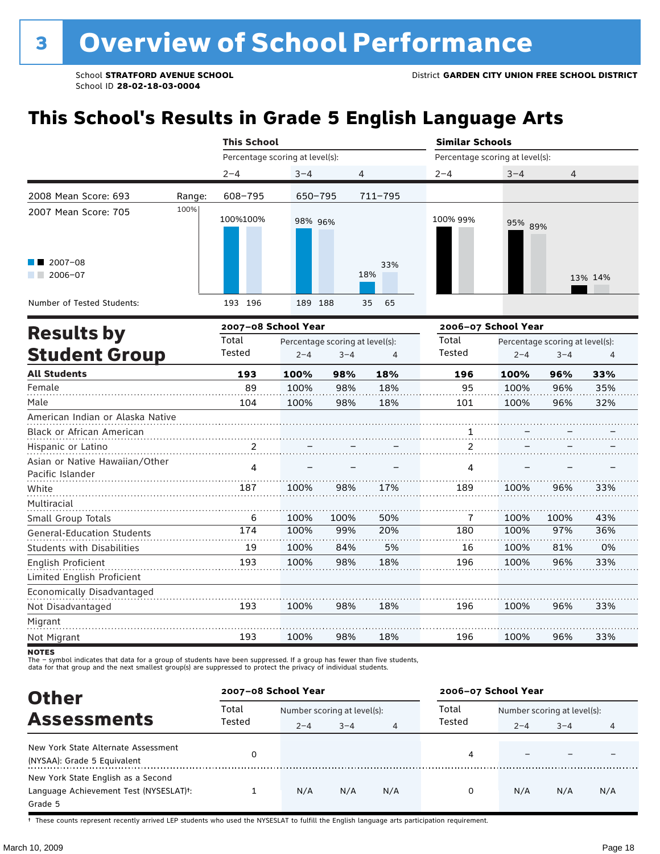# **This School's Results in Grade 5 English Language Arts**

|                                   |        | <b>This School</b>                       |         |         |                | <b>Similar Schools</b>          |                                 |         |         |  |
|-----------------------------------|--------|------------------------------------------|---------|---------|----------------|---------------------------------|---------------------------------|---------|---------|--|
|                                   |        | Percentage scoring at level(s):          |         |         |                | Percentage scoring at level(s): |                                 |         |         |  |
|                                   |        | $2 - 4$                                  | $3 - 4$ |         | 4              | $2 - 4$                         | $3 - 4$                         | 4       |         |  |
| 2008 Mean Score: 693              | Range: | 608-795                                  | 650-795 |         | $711 - 795$    |                                 |                                 |         |         |  |
| 2007 Mean Score: 705              | 100%   | 100%100%                                 | 98% 96% |         |                | 100% 99%                        | 95% 89%                         |         |         |  |
| $2007 - 08$<br>$2006 - 07$        |        |                                          |         |         | 33%<br>18%     |                                 |                                 |         | 13% 14% |  |
| Number of Tested Students:        |        | 193 196                                  | 189 188 |         | 35<br>65       |                                 |                                 |         |         |  |
|                                   |        | 2007-08 School Year                      |         |         |                | 2006-07 School Year             |                                 |         |         |  |
| <b>Results by</b>                 |        | Total<br>Percentage scoring at level(s): |         |         | Total          |                                 | Percentage scoring at level(s): |         |         |  |
| <b>Student Group</b>              |        | Tested                                   | $2 - 4$ | $3 - 4$ | $\overline{4}$ | Tested                          | $2 - 4$                         | $3 - 4$ | 4       |  |
| <b>All Students</b>               |        | 193                                      | 100%    | 98%     | 18%            | 196                             | 100%                            | 96%     | 33%     |  |
| Female                            |        | 89                                       | 100%    | 98%     | 18%            | 95                              | 100%                            | 96%     | 35%     |  |
| Male                              |        | 104                                      | 100%    | 98%     | 18%            | 101                             | 100%                            | 96%     | 32%     |  |
| American Indian or Alaska Native  |        |                                          |         |         |                |                                 |                                 |         |         |  |
| <b>Black or African American</b>  |        |                                          |         |         |                | $\frac{1}{\cdots}$              |                                 |         |         |  |
| Hispanic or Latino                |        | 2                                        |         |         |                | $\overline{2}$                  |                                 |         |         |  |
| Asian or Native Hawaiian/Other    |        | 4                                        |         |         |                | 4                               |                                 |         |         |  |
| Pacific Islander                  |        |                                          |         |         |                |                                 |                                 |         |         |  |
| White                             |        | 187                                      | 100%    | 98%     | 17%            | 189                             | 100%                            | 96%     | 33%     |  |
| Multiracial                       |        |                                          |         |         |                |                                 |                                 |         |         |  |
| Small Group Totals                |        | 6                                        | 100%    | 100%    | 50%            | 7                               | 100%                            | 100%    | 43%     |  |
| <b>General-Education Students</b> |        | 174                                      | 100%    | 99%     | 20%            | 180                             | 100%                            | 97%     | 36%     |  |
| <b>Students with Disabilities</b> |        | 19                                       | 100%    | 84%     | 5%             | 16                              | 100%                            | 81%     | 0%      |  |
| English Proficient                |        | 193                                      | 100%    | 98%     | 18%            | 196                             | 100%                            | 96%     | 33%     |  |
| Limited English Proficient        |        |                                          |         |         |                |                                 |                                 |         |         |  |
| Economically Disadvantaged        |        |                                          |         |         |                |                                 |                                 |         |         |  |
| Not Disadvantaged                 |        | 193                                      | 100%    | 98%     | 18%            | 196                             | 100%                            | 96%     | 33%     |  |
| Migrant                           |        |                                          |         |         |                |                                 |                                 |         |         |  |
| Not Migrant                       |        | 193                                      | 100%    | 98%     | 18%            | 196                             | 100%                            | 96%     | 33%     |  |

**NOTES** 

The – symbol indicates that data for a group of students have been suppressed. If a group has fewer than five students,<br>data for that group and the next smallest group(s) are suppressed to protect the privacy of individual

| <b>Other</b>                                                                                         |        | 2007-08 School Year         |         |     |        | 2006-07 School Year         |         |     |  |  |
|------------------------------------------------------------------------------------------------------|--------|-----------------------------|---------|-----|--------|-----------------------------|---------|-----|--|--|
| <b>Assessments</b>                                                                                   | Total  | Number scoring at level(s): |         |     | Total  | Number scoring at level(s): |         |     |  |  |
|                                                                                                      | Tested | $2 - 4$                     | $3 - 4$ | 4   | Tested | $2 - 4$                     | $3 - 4$ | 4   |  |  |
| New York State Alternate Assessment<br>(NYSAA): Grade 5 Equivalent                                   |        |                             |         |     | 4      |                             |         |     |  |  |
| New York State English as a Second<br>Language Achievement Test (NYSESLAT) <sup>+</sup> :<br>Grade 5 |        | N/A                         | N/A     | N/A | 0      | N/A                         | N/A     | N/A |  |  |

† These counts represent recently arrived LEP students who used the NYSESLAT to fulfill the English language arts participation requirement.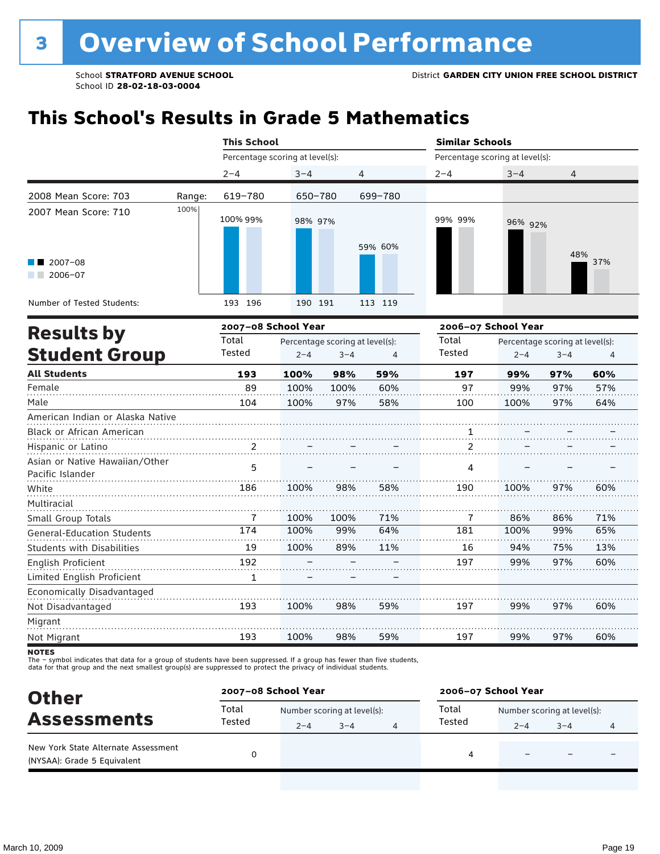## **This School's Results in Grade 5 Mathematics**

| <b>This School</b>  |                    |      |                                                                  | <b>Similar Schools</b>                                                |         |         |                                                                                      |  |
|---------------------|--------------------|------|------------------------------------------------------------------|-----------------------------------------------------------------------|---------|---------|--------------------------------------------------------------------------------------|--|
|                     |                    |      |                                                                  |                                                                       |         |         |                                                                                      |  |
| $2 - 4$             | $3 - 4$            |      |                                                                  | $2 - 4$                                                               | $3 - 4$ | 4       |                                                                                      |  |
| 619-780             |                    |      |                                                                  |                                                                       |         |         |                                                                                      |  |
| 100% 99%            |                    |      |                                                                  | 99% 99%                                                               |         |         |                                                                                      |  |
|                     |                    |      |                                                                  |                                                                       |         |         | 37%                                                                                  |  |
| 193 196             |                    |      |                                                                  |                                                                       |         |         |                                                                                      |  |
| 2007-08 School Year |                    |      | 2006-07 School Year                                              |                                                                       |         |         |                                                                                      |  |
| Total<br>Tested     | $2 - 4$<br>$3 - 4$ |      | $\overline{4}$                                                   | Total<br>Tested                                                       | $2 - 4$ | $3 - 4$ | 4                                                                                    |  |
| 193                 | 100%               | 98%  | 59%                                                              | 197                                                                   | 99%     | 97%     | 60%                                                                                  |  |
| 89                  | 100%               | 100% | 60%                                                              | 97                                                                    | 99%     | 97%     | 57%                                                                                  |  |
| 104                 | 100%               | 97%  | 58%                                                              | 100                                                                   | 100%    | 97%     | 64%                                                                                  |  |
|                     |                    |      |                                                                  |                                                                       |         |         |                                                                                      |  |
|                     |                    |      |                                                                  | 1                                                                     |         |         |                                                                                      |  |
| 2                   |                    |      |                                                                  | $\overline{2}$                                                        |         |         |                                                                                      |  |
| 5                   |                    |      |                                                                  | 4                                                                     |         |         |                                                                                      |  |
| 186                 | 100%               | 98%  | 58%                                                              | 190                                                                   | 100%    | 97%     | 60%                                                                                  |  |
| 7                   | 100%               | 100% | 71%                                                              | 7                                                                     | 86%     | 86%     | 71%                                                                                  |  |
| 174                 | 100%               | 99%  | 64%                                                              | 181                                                                   | 100%    | 99%     | 65%                                                                                  |  |
| 19                  | 100%               | 89%  | 11%                                                              | 16                                                                    | 94%     | 75%     | 13%                                                                                  |  |
| 192                 |                    |      |                                                                  | 197                                                                   | 99%     | 97%     | 60%                                                                                  |  |
| $\mathbf{1}$        |                    |      |                                                                  |                                                                       |         |         |                                                                                      |  |
|                     |                    |      |                                                                  |                                                                       |         |         |                                                                                      |  |
| 193                 | 100%               | 98%  | 59%                                                              | 197                                                                   | 99%     | 97%     | 60%                                                                                  |  |
|                     |                    |      |                                                                  |                                                                       |         |         |                                                                                      |  |
| 193                 | 100%               | 98%  | 59%                                                              | 197                                                                   | 99%     | 97%     | 60%                                                                                  |  |
|                     |                    |      | Percentage scoring at level(s):<br>650-780<br>98% 97%<br>190 191 | 4<br>699-780<br>59% 60%<br>113 119<br>Percentage scoring at level(s): |         |         | Percentage scoring at level(s):<br>96% 92%<br>48%<br>Percentage scoring at level(s): |  |

**NOTES** 

The – symbol indicates that data for a group of students have been suppressed. If a group has fewer than five students,<br>data for that group and the next smallest group(s) are suppressed to protect the privacy of individual

| <b>Other</b><br><b>Assessments</b>                                 | 2007-08 School Year |                             |         |  | 2006-07 School Year |                             |                          |   |  |
|--------------------------------------------------------------------|---------------------|-----------------------------|---------|--|---------------------|-----------------------------|--------------------------|---|--|
|                                                                    | Total               | Number scoring at level(s): |         |  | Total               | Number scoring at level(s): |                          |   |  |
|                                                                    | Tested              | $2 - 4$                     | $3 - 4$ |  | Tested              | $2 - 4$                     | $3 - 4$                  | 4 |  |
| New York State Alternate Assessment<br>(NYSAA): Grade 5 Equivalent |                     |                             |         |  | 4                   |                             | $\overline{\phantom{0}}$ |   |  |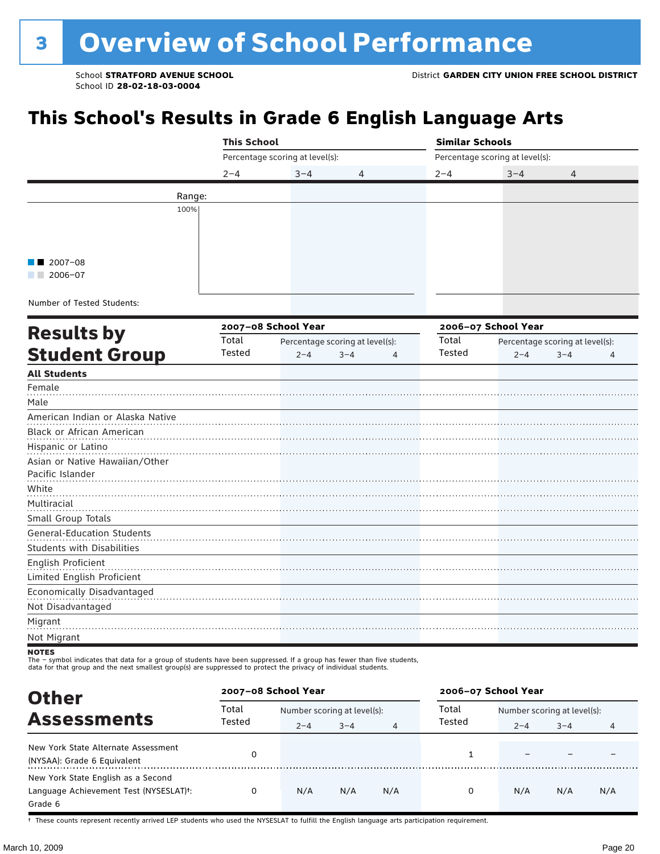# **This School's Results in Grade 6 English Language Arts**

|                                   | <b>This School</b> |                                 |                                 | <b>Similar Schools</b>          |                                 |         |   |  |
|-----------------------------------|--------------------|---------------------------------|---------------------------------|---------------------------------|---------------------------------|---------|---|--|
|                                   |                    | Percentage scoring at level(s): |                                 | Percentage scoring at level(s): |                                 |         |   |  |
|                                   | $2 - 4$            | $3 - 4$                         | 4                               | $2 - 4$                         | $3 - 4$                         | 4       |   |  |
| Range:                            |                    |                                 |                                 |                                 |                                 |         |   |  |
| 100%                              |                    |                                 |                                 |                                 |                                 |         |   |  |
|                                   |                    |                                 |                                 |                                 |                                 |         |   |  |
|                                   |                    |                                 |                                 |                                 |                                 |         |   |  |
|                                   |                    |                                 |                                 |                                 |                                 |         |   |  |
| 2007-08<br>$2006 - 07$            |                    |                                 |                                 |                                 |                                 |         |   |  |
|                                   |                    |                                 |                                 |                                 |                                 |         |   |  |
| Number of Tested Students:        |                    |                                 |                                 |                                 |                                 |         |   |  |
|                                   |                    | 2007-08 School Year             |                                 |                                 | 2006-07 School Year             |         |   |  |
| <b>Results by</b>                 | Total              |                                 | Percentage scoring at level(s): | Total                           | Percentage scoring at level(s): |         |   |  |
| <b>Student Group</b>              | Tested             | $2 - 4$                         | $3 - 4$<br>$\overline{4}$       | Tested                          | $2 - 4$                         | $3 - 4$ | 4 |  |
| <b>All Students</b>               |                    |                                 |                                 |                                 |                                 |         |   |  |
| Female                            |                    |                                 |                                 |                                 |                                 |         |   |  |
| Male                              |                    |                                 |                                 |                                 |                                 |         |   |  |
| American Indian or Alaska Native  |                    |                                 |                                 |                                 |                                 |         |   |  |
| Black or African American         |                    |                                 |                                 |                                 |                                 |         |   |  |
| Hispanic or Latino                |                    |                                 |                                 |                                 |                                 |         |   |  |
| Asian or Native Hawaiian/Other    |                    |                                 |                                 |                                 |                                 |         |   |  |
| Pacific Islander                  |                    |                                 |                                 |                                 |                                 |         |   |  |
| White                             |                    |                                 |                                 |                                 |                                 |         |   |  |
| Multiracial                       |                    |                                 |                                 |                                 |                                 |         |   |  |
| Small Group Totals                |                    |                                 |                                 |                                 |                                 |         |   |  |
| <b>General-Education Students</b> |                    |                                 |                                 |                                 |                                 |         |   |  |
| <b>Students with Disabilities</b> |                    |                                 |                                 |                                 |                                 |         |   |  |
| English Proficient                |                    |                                 |                                 |                                 |                                 |         |   |  |
| Limited English Proficient        |                    |                                 |                                 |                                 |                                 |         |   |  |
| Economically Disadvantaged        |                    |                                 |                                 |                                 |                                 |         |   |  |
| Not Disadvantaged                 |                    |                                 |                                 |                                 |                                 |         |   |  |
| Migrant                           |                    |                                 |                                 |                                 |                                 |         |   |  |
| Not Migrant                       |                    |                                 |                                 |                                 |                                 |         |   |  |
| <b>NOTES</b>                      |                    |                                 |                                 |                                 |                                 |         |   |  |

The – symbol indicates that data for a group of students have been suppressed. If a group has fewer than five students,<br>data for that group and the next smallest group(s) are suppressed to protect the privacy of individual

| <b>Other</b>                                                                            | 2007-08 School Year |                             |         |                | 2006-07 School Year |                             |         |     |  |
|-----------------------------------------------------------------------------------------|---------------------|-----------------------------|---------|----------------|---------------------|-----------------------------|---------|-----|--|
| <b>Assessments</b>                                                                      | Total               | Number scoring at level(s): |         |                | Total               | Number scoring at level(s): |         |     |  |
|                                                                                         | Tested              | $2 - 4$                     | $3 - 4$ | $\overline{4}$ | Tested              | $2 - 4$                     | $3 - 4$ | 4   |  |
| New York State Alternate Assessment<br>(NYSAA): Grade 6 Equivalent                      |                     |                             |         |                |                     |                             |         |     |  |
| New York State English as a Second<br>Language Achievement Test (NYSESLAT)t:<br>Grade 6 | 0                   | N/A                         | N/A     | N/A            | 0                   | N/A                         | N/A     | N/A |  |

† These counts represent recently arrived LEP students who used the NYSESLAT to fulfill the English language arts participation requirement.